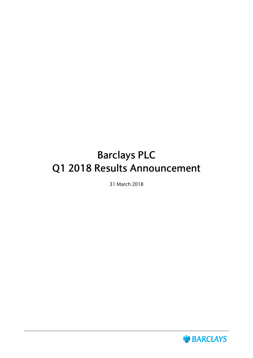# **Barclays PLC Q1 2018 Results Announcement**

31 March 2018

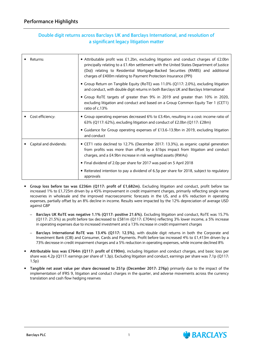### **Double digit returns across Barclays UK and Barclays International, and resolution of a significant legacy litigation matter**

| Returns:               | • Attributable profit was £1.2bn, excluding litigation and conduct charges of £2.0bn<br>principally relating to a £1.4bn settlement with the United States Department of Justice<br>(DoJ) relating to Residential Mortgage-Backed Securities (RMBS) and additional<br>charges of £400m relating to Payment Protection Insurance (PPI) |
|------------------------|---------------------------------------------------------------------------------------------------------------------------------------------------------------------------------------------------------------------------------------------------------------------------------------------------------------------------------------|
|                        | • Group Return on Tangible Equity (RoTE) was 11.0% (Q117: 2.0%), excluding litigation<br>and conduct, with double digit returns in both Barclays UK and Barclays International                                                                                                                                                        |
|                        | • Group RoTE targets of greater than 9% in 2019 and greater than 10% in 2020,<br>excluding litigation and conduct and based on a Group Common Equity Tier 1 (CET1)<br>ratio of c.13%                                                                                                                                                  |
| Cost efficiency:       | • Group operating expenses decreased 6% to £3.4bn, resulting in a cost: income ratio of<br>63% (Q117: 62%), excluding litigation and conduct of £2.0bn (Q117: £28m)                                                                                                                                                                   |
|                        | • Guidance for Group operating expenses of £13.6-13.9bn in 2019, excluding litigation<br>and conduct                                                                                                                                                                                                                                  |
| Capital and dividends: | • CET1 ratio declined to 12.7% (December 2017: 13.3%), as organic capital generation<br>from profits was more than offset by a 61bps impact from litigation and conduct<br>charges, and a £4.9bn increase in risk weighted assets (RWAs)                                                                                              |
|                        | • Final dividend of 2.0p per share for 2017 was paid on 5 April 2018                                                                                                                                                                                                                                                                  |
|                        | • Reiterated intention to pay a dividend of 6.5p per share for 2018, subject to regulatory<br>approvals                                                                                                                                                                                                                               |

- **Group loss before tax was £236m (Q117: profit of £1,682m).** Excluding litigation and conduct, profit before tax increased 1% to £1,725m driven by a 45% improvement in credit impairment charges, primarily reflecting single name recoveries in wholesale and the improved macroeconomic forecasts in the US, and a 6% reduction in operating expenses, partially offset by an 8% decline in income. Results were impacted by the 12% depreciation of average USD against GBP
	- **Barclays UK RoTE was negative 1.1% (Q117: positive 21.6%).** Excluding litigation and conduct, RoTE was 15.7% (Q117: 21.5%) as profit before tax decreased to £581m (Q117: £704m) reflecting 3% lower income, a 5% increase in operating expenses due to increased investment and a 13% increase in credit impairment charges
	- **Barclays International RoTE was 13.4% (Q117: 12.5%)**, with double digit returns in both the Corporate and Investment Bank (CIB) and Consumer, Cards and Payments. Profit before tax increased 4% to £1,413m driven by a 73% decrease in credit impairment charges and a 5% reduction in operating expenses, while income declined 8%
- **Attributable loss was £764m (Q117: profit of £190m)**, including litigation and conduct charges, and basic loss per share was 4.2p (Q117: earnings per share of 1.3p). Excluding litigation and conduct, earnings per share was 7.1p (Q117: 1.5p)
- **Tangible net asset value per share decreased to 251p (December 2017: 276p)** primarily due to the impact of the implementation of IFRS 9, litigation and conduct charges in the quarter, and adverse movements across the currency translation and cash flow hedging reserves

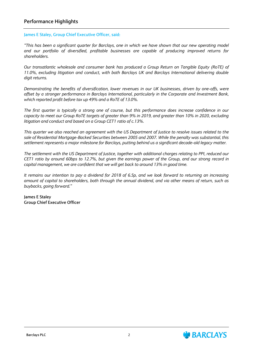### **Performance Highlights**

#### **James E Staley, Group Chief Executive Officer, said:**

*"This has been a significant quarter for Barclays, one in which we have shown that our new operating model and our portfolio of diversified, profitable businesses are capable of producing improved returns for shareholders.*

*Our transatlantic wholesale and consumer bank has produced a Group Return on Tangible Equity (RoTE) of 11.0%, excluding litigation and conduct, with both Barclays UK and Barclays International delivering double digit returns.* 

*Demonstrating the benefits of diversification, lower revenues in our UK businesses, driven by one-offs, were offset by a stronger performance in Barclays International, particularly in the Corporate and Investment Bank, which reported profit before tax up 49% and a RoTE of 13.0%.*

*The first quarter is typically a strong one of course, but this performance does increase confidence in our capacity to meet our Group RoTE targets of greater than 9% in 2019, and greater than 10% in 2020, excluding litigation and conduct and based on a Group CET1 ratio of c.13%.*

*This quarter we also reached an agreement with the US Department of Justice to resolve issues related to the sale of Residential Mortgage-Backed Securities between 2005 and 2007. While the penalty was substantial, this settlement represents a major milestone for Barclays, putting behind us a significant decade-old legacy matter.*

*The settlement with the US Department of Justice, together with additional charges relating to PPI, reduced our CET1 ratio by around 60bps to 12.7%, but given the earnings power of the Group, and our strong record in capital management, we are confident that we will get back to around 13% in good time.*

*It remains our intention to pay a dividend for 2018 of 6.5p, and we look forward to returning an increasing amount of capital to shareholders, both through the annual dividend, and via other means of return, such as buybacks, going forward."*

**James E Staley Group Chief Executive Officer**

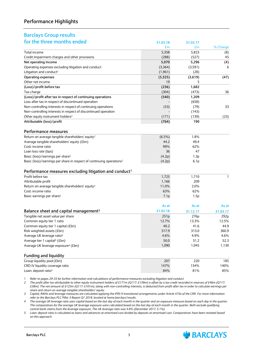### **Performance Highlights**

#### **Barclays Group results for the three months ended 31.03.18 31.03.17**

| וטו נווכ נוווככ וווטוונווג כוועכע                                                | 31.03.18  | 31.03.17         |                  |
|----------------------------------------------------------------------------------|-----------|------------------|------------------|
|                                                                                  | £m        | £m               | % Change         |
| Total income                                                                     | 5,358     | 5,823            | (8)              |
| Credit impairment charges and other provisions                                   | (288)     | (527)            | 45               |
| Net operating income                                                             | 5,070     | 5,296            | (4)              |
| Operating expenses excluding litigation and conduct                              | (3,364)   | (3,591)          | 6                |
| Litigation and conduct <sup>1</sup>                                              | (1, 961)  | (28)             |                  |
| Operating expenses                                                               | (5,325)   | (3,619)          | (47)             |
| Other net income                                                                 | 19        | 5                |                  |
| (Loss)/profit before tax                                                         | (236)     | 1,682            |                  |
| Tax charge                                                                       | (304)     | (473)            | 36               |
| (Loss)/profit after tax in respect of continuing operations                      | (540)     | 1,209            |                  |
| Loss after tax in respect of discontinued operation                              |           | (658)            |                  |
| Non-controlling interests in respect of continuing operations                    | (53)      | (79)             | 33               |
| Non-controlling interests in respect of discontinued operation                   |           | (143)            |                  |
| Other equity instrument holders <sup>2</sup>                                     | (171)     | (139)            | (23)             |
| Attributable (loss)/profit                                                       | (764)     | 190              |                  |
|                                                                                  |           |                  |                  |
| <b>Performance measures</b>                                                      |           |                  |                  |
| Return on average tangible shareholders' equity <sup>2</sup>                     | $(6.5\%)$ | 1.8%             |                  |
| Average tangible shareholders' equity (£bn)                                      | 44.2      | 49.4             |                  |
| Cost: income ratio                                                               | 99%       | 62%              |                  |
| Loan loss rate (bps)                                                             | 36        | 47               |                  |
|                                                                                  |           |                  |                  |
| Basic (loss)/earnings per share <sup>2</sup>                                     | (4.2p)    | 1.3p             |                  |
| Basic (loss)/earnings per share in respect of continuing operations <sup>2</sup> | (4.2p)    | 6.1 <sub>p</sub> |                  |
| Performance measures excluding litigation and conduct <sup>1</sup>               |           |                  |                  |
| Profit before tax                                                                | 1,725     | 1,710            | $\mathbf{1}$     |
| Attributable profit                                                              | 1,166     | 209              |                  |
| Return on average tangible shareholders' equity <sup>2</sup>                     | 11.0%     | 2.0%             |                  |
| Cost: income ratio                                                               | 63%       | 62%              |                  |
| Basic earnings per share <sup>2</sup>                                            | 7.1p      | 1.5p             |                  |
|                                                                                  |           |                  |                  |
|                                                                                  | As at     | As at            | As at            |
| Balance sheet and capital management <sup>3</sup>                                | 31.03.18  | 31.12.17         | 31.03.17         |
| Tangible net asset value per share                                               | 251p      | 276p             | 292 <sub>p</sub> |
| Common equity tier 1 ratio                                                       | 12.7%     | 13.3%            | 12.5%            |
| Common equity tier 1 capital (£bn)                                               | 40.2      | 41.6             | 44.9             |
| Risk weighted assets (£bn)                                                       | 317.9     | 313.0            | 360.9            |
| Average UK leverage ratio <sup>4</sup>                                           | 4.6%      | 4.9%             | 4.6%             |
| Average tier 1 capital <sup>4</sup> (£bn)                                        | 50.0      | 51.2             | 52.3             |
| Average UK leverage exposure <sup>4</sup> (£bn)                                  | 1,090     | 1,045            | 1,130            |
|                                                                                  |           |                  |                  |
| <b>Funding and liquidity</b>                                                     |           |                  |                  |
| Group liquidity pool (£bn)                                                       | 207       | 220              | 185              |
| CRD IV liquidity coverage ratio                                                  | 147%      | 154%             | 140%             |
| Loan: deposit ratio <sup>5</sup>                                                 | 84%       | 81%              | 85%              |

*1 Refer to pages 29-33 for further information and calculations of performance measures excluding litigation and conduct.*

*2 The profit after tax attributable to other equity instrument holders of £171m (Q117: £139m) is offset by a tax credit recorded in reserves of £46m (Q117: £38m). The net amount of £125m (Q117: £101m), along with non-controlling interests, is deducted from profit after tax in order to calculate earnings per share and return on average tangible shareholders' equity.*

*3 Capital, RWAs and leverage measures are calculated applying the IFRS 9 transitional arrangements under Article 473a of the CRR. For more information refer to the Barclays PLC Pillar 3 Report Q1 2018, located at home.barclays/results.*

*4 The average UK leverage ratio uses capital based on the last day of each month in the quarter and an exposure measure based on each day in the quarter.* The comparatives for the average UK leverage exposure were calculated based on the last day of each month in the quarter. Both exclude qualifying *central bank claims from the leverage exposure. The UK leverage ratio was 4.8% (December 2017: 5.1%).*

*5 Loan: deposit ratio is calculated as loans and advances at amortised cost divided by deposits at amortised cost. Comparatives have been restated based on this approach.*

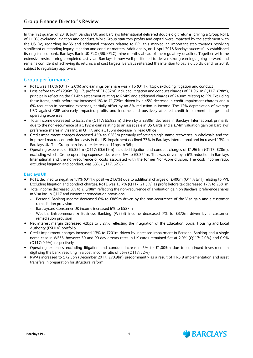### **Group Finance Director's Review**

In the first quarter of 2018, both Barclays UK and Barclays International delivered double digit returns, driving a Group RoTE of 11.0% excluding litigation and conduct. While Group statutory profits and capital were impacted by the settlement with the US DoJ regarding RMBS and additional charges relating to PPI, this marked an important step towards resolving significant outstanding legacy litigation and conduct matters. Additionally, on 1 April 2018 Barclays successfully established its ring-fenced bank, Barclays Bank UK PLC (BBUKPLC), nine months ahead of the regulatory deadline. Together with the extensive restructuring completed last year, Barclays is now well-positioned to deliver strong earnings going forward and remains confident of achieving its returns and cost targets. Barclays reiterated the intention to pay a 6.5p dividend for 2018, subject to regulatory approvals.

#### **Group performance**

- RoTE was 11.0% (Q117: 2.0%) and earnings per share was 7.1p (Q117: 1.5p), excluding litigation and conduct
- Loss before tax of £236m (Q117: profit of £1,682m) included litigation and conduct charges of £1,961m (Q117: £28m), principally reflecting the £1.4bn settlement relating to RMBS and additional charges of £400m relating to PPI. Excluding these items, profit before tax increased 1% to £1,725m driven by a 45% decrease in credit impairment charges and a 6% reduction in operating expenses, partially offset by an 8% reduction in income. The 12% depreciation of average USD against GBP adversely impacted profits and income, and positively affected credit impairment charges and operating expenses
- Total income decreased to £5,358m (Q117: £5,823m) driven by a £330m decrease in Barclays International, primarily due to the non-recurrence of a £192m gain relating to an asset sale in US Cards and a £74m valuation gain on Barclays' preference shares in Visa Inc. in Q117, and a £156m decrease in Head Office
- Credit impairment charges decreased 45% to £288m primarily reflecting single name recoveries in wholesale and the improved macroeconomic forecasts in the US. Impairment declined 73% in Barclays International and increased 13% in Barclays UK. The Group loan loss rate decreased 11bps to 36bps
- Operating expenses of £5,325m (Q117: £3,619m) included litigation and conduct charges of £1,961m (Q117: £28m), excluding which, Group operating expenses decreased 6% to £3,364m. This was driven by a 6% reduction in Barclays International and the non-recurrence of costs associated with the former Non-Core division. The cost: income ratio, excluding litigation and conduct, was 63% (Q117: 62%)

#### **Barclays UK**

- RoTE declined to negative 1.1% (Q117: positive 21.6%) due to additional charges of £400m (Q117: £nil) relating to PPI. Excluding litigation and conduct charges, RoTE was 15.7% (Q117: 21.5%) as profit before tax decreased 17% to £581m
- Total income decreased 3% to £1,788m reflecting the non-recurrence of a valuation gain on Barclays' preference shares in Visa Inc. in Q117 and customer remediation provisions
	- **-** Personal Banking income decreased 6% to £889m driven by the non-recurrence of the Visa gain and a customer remediation provision
	- **-** Barclaycard Consumer UK income increased 6% to £527m
	- **-** Wealth, Entrepreneurs & Business Banking (WEBB) income decreased 7% to £372m driven by a customer remediation provision
- Net interest margin decreased 42bps to 3.27% reflecting the integration of the Education, Social Housing and Local Authority (ESHLA) portfolio
- Credit impairment charges increased 13% to £201m driven by increased impairment in Personal Banking and a single name case in WEBB, however 30 and 90 day arrears rates in UK cards remained flat at 2.0% (Q117: 2.0%) and 0.9% (Q117: 0.9%), respectively
- Operating expenses excluding litigation and conduct increased 5% to £1,005m due to continued investment in digitising the bank, resulting in a cost: income ratio of 56% (Q117: 52%)
- RWAs increased to £72.5bn (December 2017: £70.9bn) predominantly as a result of IFRS 9 implementation and asset transfers in preparation for structural reform

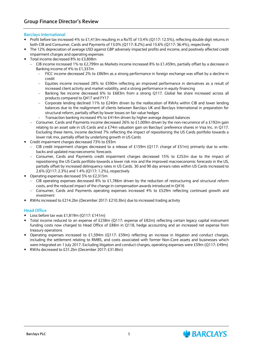#### **Barclays International**

- Profit before tax increased 4% to £1,413m resulting in a RoTE of 13.4% (Q117: 12.5%), reflecting double digit returns in both CIB and Consumer, Cards and Payments of 13.0% (Q117: 8.2%) and 15.6% (Q117: 36.4%), respectively
- The 12% depreciation of average USD against GBP adversely impacted profits and income, and positively affected credit impairment charges and operating expenses
- Total income decreased 8% to £3,808m
	- CIB income increased 1% to £2,799m as Markets income increased 8% to £1,459m, partially offset by a decrease in Banking income of 4% to £1,337m
		- FICC income decreased 2% to £869m as a strong performance in foreign exchange was offset by a decline in credit
		- Equities income increased 28% to £590m reflecting an improved performance in derivatives as a result of increased client activity and market volatility, and a strong performance in equity financing
		- Banking fee income decreased 6% to £683m from a strong Q117. Global fee share increased across all products compared to Q417 and FY17
		- Corporate lending declined 11% to £240m driven by the reallocation of RWAs within CIB and lower lending balances due to the realignment of clients between Barclays UK and Barclays International in preparation for structural reform, partially offset by lower losses on fair value hedges
		- Transaction banking increased 4% to £414m driven by higher average deposit balances
	- Consumer, Cards and Payments income decreased 26% to £1,009m driven by the non-recurrence of a £192m gain relating to an asset sale in US Cards and a £74m valuation gain on Barclays' preference shares in Visa Inc. in Q117. Excluding these items, income declined 7% reflecting the impact of repositioning the US Cards portfolio towards a lower risk mix, partially offset by underlying growth in US Cards
- Credit impairment charges decreased 73% to £93m
	- CIB credit impairment charges decreased to a release of £159m (Q117: charge of £51m) primarily due to writebacks and updated macroeconomic forecasts
	- Consumer, Cards and Payments credit impairment charges decreased 15% to £252m due to the impact of repositioning the US Cards portfolio towards a lower risk mix and the improved macroeconomic forecasts in the US, partially offset by increased delinquency rates in US Cards. 30 and 90 day arrears rates within US Cards increased to 2.6% (Q117: 2.3%) and 1.4% (Q117: 1.2%), respectively
- Operating expenses decreased 5% to £2,315m
	- CIB operating expenses decreased 8% to £1,786m driven by the reduction of restructuring and structural reform costs, and the reduced impact of the change in compensation awards introduced in Q416
	- Consumer, Cards and Payments operating expenses increased 4% to £529m reflecting continued growth and investment
- RWAs increased to £214.2bn (December 2017: £210.3bn) due to increased trading activity

#### **Head Office**

- Loss before tax was £1,819m (Q117: £141m)
- Total income reduced to an expense of £238m (Q117: expense of £82m) reflecting certain legacy capital instrument funding costs now charged to Head Office of £88m in Q118, hedge accounting and an increased net expense from treasury operations
- Operating expenses increased to £1,594m (Q117: £59m) reflecting an increase in litigation and conduct charges, including the settlement relating to RMBS, and costs associated with former Non-Core assets and businesses which were integrated on 1 July 2017. Excluding litigation and conduct charges, operating expenses were £59m (Q117: £49m)
- RWAs decreased to £31.2bn (December 2017: £31.8bn)

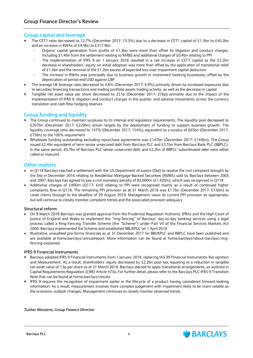#### **Group capital and leverage**

- The CET1 ratio decreased to 12.7% (December 2017: 13.3%) due to a decrease in CET1 capital of £1.3bn to £40.2bn and an increase in RWAs of £4.9bn to £317.9bn
	- Organic capital generation from profits of £1.3bn were more than offset by litigation and conduct charges, including £1.4bn from the settlement relating to RMBS and additional charges of £0.4bn relating to PPI
	- The implementation of IFRS 9 on 1 January 2018 resulted in a net increase in CET1 capital as the £2.2bn decrease in shareholders' equity on initial adoption was more than offset by the application of transitional relief of £1.3bn and the removal of the £1.2bn excess of expected loss over impairment capital deduction
	- The increase in RWAs was principally due to business growth in investment banking businesses, offset by the depreciation of period end USD against GBP
- The average UK leverage ratio decreased to 4.6% (December 2017: 4.9%) primarily driven by increased exposures due to securities financing transactions and trading portfolio assets trading activity, as well as the decrease in capital
- Tangible net asset value per share decreased to 251p (December 2017: 276p**)** primarily due to the impact of the implementation of IFRS 9, litigation and conduct charges in the quarter, and adverse movements across the currency translation and cash flow hedging reserves

### **Group funding and liquidity**

- The Group continued to maintain surpluses to its internal and requlatory requirements. The liquidity pool decreased to £207bn (December 2017: £220bn) driven largely by the deployment of funding to support business growth. The liquidity coverage ratio decreased to 147% (December 2017: 154%), equivalent to a surplus of £65bn (December 2017: £75bn) to the 100% requirement
- Wholesale funding outstanding excluding repurchase agreements was £147bn (December 2017: £144bn). The Group issued £2.4bn equivalent of term senior unsecured debt from Barclays PLC and £2.1bn from Barclays Bank PLC (BBPLC). In the same period, £0.7bn of Barclays PLC senior unsecured debt and £2.2bn of BBPLC subordinated debt were either called or matured

#### **Other matters**

- In Q118 Barclays reached a settlement with the US Department of Justice (DoJ) to resolve the civil complaint brought by the DoJ in December 2016 relating to Residential Mortgage-Backed Securities (RMBS) sold by Barclays between 2005 and 2007. Barclays has agreed to pay a civil monetary penalty of \$2,000m (£1,420m), which was recognised in Q118
- Additional charges of £400m (Q117: £nil) relating to PPI were recognised mainly as a result of continued higher complaints flow in Q118. The remaining PPI provision as at 31 March 2018 was £1.7bn (December 2017: £1.6bn) to cover claims through to the deadline of 29 August 2019. Management views its current PPI provision as appropriate, but will continue to closely monitor complaint trends and the associated provision adequacy

#### **Structural reform**

- On 9 March 2018 Barclays was granted approval from the Prudential Regulation Authority (PRA) and the High Court of Justice of England and Wales to implement the "ring-fencing" of Barclays' day-to-day banking services using a legal process called a Ring-Fencing Transfer Scheme (the "Scheme") under Part VII of the Financial Services Markets Act 2000. Barclays implemented the Scheme and established BBUKPLC on 1 April 2018
- Illustrative, unaudited pro-forma financials as at 31 December 2017 for BBUKPLC and BBPLC have been published and are available at home.barclays/annualreport. More information can be found at home.barclays/about-barclays/ringfencing-explained

#### **IFRS 9 Financial Instruments**

- Barclays adopted IFRS 9 Financial Instruments from 1 January 2018, replacing IAS 39 Financial Instruments: Recognition and Measurement. As a result, shareholders' equity decreased by £2.2bn post-tax, equating to a reduction in tangible net asset value of 13p per share as at 31 March 2018. Barclays elected to apply transitional arrangements, as outlined in Capital Requirements Regulation (CRR) Article 473a. For further detail, please refer to the Barclays PLC IFRS 9 Transition Note that can be found at home.barclays/results
- IFRS 9 requires the recognition of impairment earlier in the lifecycle of a product having considered forward-looking information. As a result, measurement involves more complex judgement with impairment likely to be more volatile as the economic outlook changes. Management continues to closely monitor observed trends

#### *Tushar Morzaria, Group Finance Director*

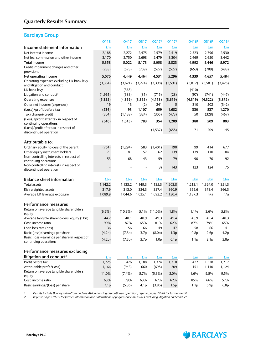### **Barclays Group**

|                                                                         | Q118      | Q417       | Q317             | Q217 <sup>1</sup> | Q117 <sup>1</sup> | Q416 <sup>1</sup> | Q316 <sup>1</sup> | Q216 <sup>1</sup> |
|-------------------------------------------------------------------------|-----------|------------|------------------|-------------------|-------------------|-------------------|-------------------|-------------------|
| Income statement information                                            | £m        | £m         | £m               | £m                | £m                | £m                | £m                | £m                |
| Net interest income                                                     | 2,188     | 2,272      | 2,475            | 2,579             | 2,519             | 2,523             | 2,796             | 2,530             |
| Net fee, commission and other income                                    | 3,170     | 2,750      | 2,698            | 2,479             | 3,304             | 2,469             | 2,650             | 3,442             |
| Total income                                                            | 5,358     | 5,022      | 5,173            | 5,058             | 5,823             | 4,992             | 5,446             | 5,972             |
| Credit impairment charges and other<br>provisions                       | (288)     | (573)      | (709)            | (527)             | (527)             | (653)             | (789)             | (488)             |
| Net operating income                                                    | 5,070     | 4,449      | 4,464            | 4,531             | 5,296             | 4,339             | 4,657             | 5,484             |
| Operating expenses excluding UK bank levy<br>and litigation and conduct | (3,364)   | (3,621)    | (3,274)          | (3,398)           | (3,591)           | (3,812)           | (3,581)           | (3, 425)          |
| UK bank levy                                                            |           | (365)      |                  |                   |                   | (410)             |                   |                   |
| Litigation and conduct <sup>2</sup>                                     | (1, 961)  | (383)      | (81)             | (715)             | (28)              | (97)              | (741)             | (447)             |
| Operating expenses                                                      | (5,325)   | (4, 369)   | (3,355)          | (4, 113)          | (3,619)           | (4, 319)          | (4, 322)          | (3,872)           |
| Other net income/(expenses)                                             | 19        | 13         | (2)              | 241               | 5                 | 310               | 502               | (342)             |
| (Loss)/profit before tax                                                | (236)     | 93         | 1,107            | 659               | 1,682             | 330               | 837               | 1,270             |
| Tax (charge)/credit                                                     | (304)     | (1, 138)   | (324)            | (305)             | (473)             | 50                | (328)             | (467)             |
| (Loss)/profit after tax in respect of<br>continuing operations          | (540)     | (1,045)    | 783              | 354               | 1,209             | 380               | 509               | 803               |
| (Loss)/profit after tax in respect of<br>discontinued operation         |           |            |                  | (1,537)           | (658)             | 71                | 209               | 145               |
| Attributable to:                                                        |           |            |                  |                   |                   |                   |                   |                   |
| Ordinary equity holders of the parent                                   | (764)     | (1, 294)   | 583              | (1, 401)          | 190               | 99                | 414               | 677               |
| Other equity instrument holders                                         | 171       | 181        | 157              | 162               | 139               | 139               | 110               | 104               |
| Non-controlling interests in respect of<br>continuing operations        | 53        | 68         | 43               | 59                | 79                | 90                | 70                | 92                |
| Non-controlling interests in respect of<br>discontinued operation       |           |            |                  | (3)               | 143               | 123               | 124               | 75                |
| <b>Balance sheet information</b>                                        | £bn       | £bn        | £bn              | £bn               | £bn               | £bn               | £bn               | £bn               |
| <b>Total assets</b>                                                     | 1,142.2   | 1,133.2    | 1,149.3          | 1,135.3           | 1,203.8           | 1,213.1           | 1,324.0           | 1,351.3           |
| Risk weighted assets                                                    | 317.9     | 313.0      | 324.3            | 327.4             | 360.9             | 365.6             | 373.4             | 366.3             |
| Average UK leverage exposure                                            | 1,089.9   | 1,044.6    | 1,035.1          | 1,092.2           | 1,130.4           | 1,137.3           | n/a               | n/a               |
| Performance measures                                                    |           |            |                  |                   |                   |                   |                   |                   |
| Return on average tangible shareholders'<br>equity                      | $(6.5\%)$ | $(10.3\%)$ | 5.1%             | $(11.0\%)$        | 1.8%              | 1.1%              | 3.6%              | 5.8%              |
| Average tangible shareholders' equity (£bn)                             | 44.2      | 48.1       | 48.9             | 49.3              | 49.4              | 48.9              | 49.4              | 48.3              |
| Cost: income ratio                                                      | 99%       | 87%        | 65%              | 81%               | 62%               | 87%               | 79%               | 65%               |
| Loan loss rate (bps)                                                    | 36        | 56         | 66               | 49                | 47                | 58                | 66                | 41                |
| Basic (loss)/earnings per share                                         | (4.2p)    | (7.3p)     | 3.7p             | (8.0p)            | 1.3p              | 0.8p              | 2.6p              | 4.2p              |
| Basic (loss)/earnings per share in respect of<br>continuing operations  | (4.2p)    | (7.3p)     | 3.7 <sub>p</sub> | 1.0 <sub>p</sub>  | 6.1p              | 1.1 <sub>p</sub>  | 2.1 <sub>p</sub>  | 3.8 <sub>p</sub>  |
| Performance measures excluding                                          |           |            |                  |                   |                   |                   |                   |                   |
| litigation and conduct <sup>2</sup>                                     | £m        | £m         | £m               | £m                |                   | £m                | £m                |                   |
| Profit before tax                                                       | 1,725     | 476        | 1,188            | 1,374             | £m<br>1,710       | 427               | 1,578             | £m<br>1,717       |
| Attributable profit/(loss)                                              | 1,166     | (943)      | 660              | (698)             | 209               | 151               | 1,140             | 1,124             |
| Return on average tangible shareholders'                                |           |            |                  |                   |                   |                   |                   |                   |
| equity                                                                  | 11.0%     | $(7.4\%)$  | 5.7%             | $(5.3\%)$         | 2.0%              | 1.6%              | 9.5%              | 9.5%              |
| Cost: income ratio                                                      | 63%       | 79%        | 63%              | 67%               | 62%               | 85%               | 66%               | 57%               |
| Basic earnings/(loss) per share                                         | 7.1p      | (5.3p)     | 4.1 <sub>p</sub> | (3.8p)            | 1.5p              | 1.1 <sub>p</sub>  | 6.9p              | 6.8p              |

*1 Results include Barclays Non-Core and the Africa Banking discontinued operation; refer to pages 27-28 for further detail. 2 Refer to pages 29-33 for further information and calculations of performance measures excluding litigation and conduct.*

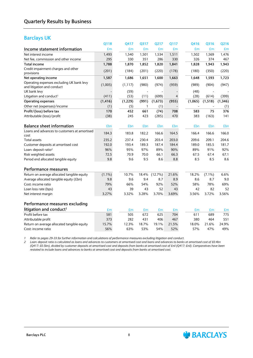#### **Barclays UK**

|                                                          | Q118       | Q417       | Q317       | Q217    | Q117  | Q416         | Q316      | Q216       |
|----------------------------------------------------------|------------|------------|------------|---------|-------|--------------|-----------|------------|
| Income statement information                             | £m         |            | £m<br>£m   | £m      | £m    | £m           | £m        | £m         |
| Net interest income                                      | 1,493      | 1,540      | 1,501      | 1,534   | 1,511 | 1,502        | 1,569     | 1,476      |
| Net fee, commission and other income                     | 295        | 330        | 351        | 286     | 330   | 326          | 374       | 467        |
| <b>Total income</b>                                      | 1,788      | 1,870      | 1,852      | 1,820   | 1,841 | 1,828        | 1,943     | 1,943      |
| Credit impairment charges and other                      | (201)      | (184)      | (201)      | (220)   | (178) | (180)        | (350)     | (220)      |
| provisions                                               |            |            |            |         |       |              |           |            |
| Net operating income                                     | 1,587      | 1,686      | 1,651      | 1,600   | 1,663 | 1,648        | 1,593     | 1,723      |
| Operating expenses excluding UK bank levy                | (1,005)    | (1, 117)   | (980)      | (974)   | (959) | (989)        | (904)     | (947)      |
| and litigation and conduct                               |            |            |            |         |       |              |           |            |
| UK bank levy                                             |            | (59)       |            |         |       | (48)<br>(28) |           |            |
| Litigation and conduct <sup>1</sup>                      | (411)      | (53)       | (11)       | (699)   | 4     |              | (614)     | (399)      |
| <b>Operating expenses</b><br>Other net (expenses)/income | (1, 416)   | (1, 229)   | (991)<br>1 | (1,673) | (955) | (1,065)      | (1,518)   | (1, 346)   |
| Profit/(loss) before tax                                 | (1)<br>170 | 452        | (5)<br>661 | (1)     | 708   | 583          | 75        | (1)<br>376 |
|                                                          |            |            | 423        | (74)    | 470   |              |           | 141        |
| Attributable (loss)/profit                               | (38)       | 245        |            | (285)   |       | 383          | (163)     |            |
| <b>Balance sheet information</b>                         | £bn        | <b>£bn</b> | £bn        | £bn     | £bn   | £bn          | £bn       | £bn        |
| Loans and advances to customers at amortised             |            |            |            |         |       |              |           |            |
| cost                                                     | 184.3      | 183.8      | 182.2      | 166.6   | 164.5 | 166.4        | 166.6     | 166.0      |
| <b>Total assets</b>                                      | 235.2      | 237.4      | 230.4      | 203.4   | 203.0 | 209.6        | 209.1     | 204.6      |
| Customer deposits at amortised cost                      | 192.0      | 193.4      | 189.3      | 187.4   | 184.4 | 189.0        | 185.5     | 181.7      |
| Loan: deposit ratio <sup>2</sup>                         | 96%        | 95%        | 97%        | 89%     | 90%   | 89%          | 91%       | 92%        |
| Risk weighted assets                                     | 72.5       | 70.9       | 70.0       | 66.1    | 66.3  | 67.5         | 67.4      | 67.1       |
| Period end allocated tangible equity                     | 9.8        |            | 9.6<br>9.5 | 8.6     | 8.8   | 8.5          | 8.5       | 8.6        |
| <b>Performance measures</b>                              |            |            |            |         |       |              |           |            |
| Return on average allocated tangible equity              | $(1.1\%)$  | 10.7%      | 18.4%      | (12.7%) | 21.6% | 18.2%        | $(7.1\%)$ | 6.6%       |
| Average allocated tangible equity (£bn)                  | 9.8        |            | 9.6<br>9.4 | 8.7     | 8.9   | 8.6          | 8.7       | 9.0        |
| Cost: income ratio                                       | 79%        | 66%        | 54%        | 92%     | 52%   | 58%          | 78%       | 69%        |
| Loan loss rate (bps)                                     | 43         |            | 39<br>43   | 52      | 43    | 42           | 82        | 52         |
| Net interest margin                                      | 3.27%      | 3.32%      | 3.28%      | 3.70%   | 3.69% | 3.56%        | 3.72%     | 3.56%      |
| Performance measures excluding                           |            |            |            |         |       |              |           |            |
| litigation and conduct <sup>1</sup>                      | £m         |            | £m<br>£m   | £m      | £m    | £m           | £m        | £m         |
| Profit before tax                                        | 581        | 505        | 672        | 625     | 704   | 611          | 689       | 775        |
| Attributable profit                                      | 373        | 282        | 431        | 406     | 467   | 380          | 464       | 551        |
| Return on average allocated tangible equity              | 15.7%      | 12.3%      | 18.7%      | 19.1%   | 21.5% | 18.0%        | 21.6%     | 24.9%      |
| Cost: income ratio                                       | 56%        | 63%        | 53%        | 54%     | 52%   | 57%          | 47%       | 49%        |

*1 Refer to pages 29-33 for further information and calculations of performance measures excluding litigation and conduct.*

*2 Loan: deposit ratio is calculated as loans and advances to customers at amortised cost and loans and advances to banks at amortised cost of £0.4bn (Q417: £0.5bn), divided by customer deposits at amortised cost and deposits from banks at amortised cost of £nil (Q417: £nil). Comparatives have been restated to include loans and advances to banks at amortised cost and deposits from banks at amortised cost.*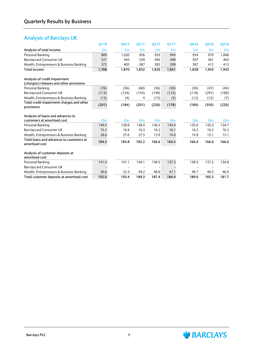## **Analysis of Barclays UK**

|                                                                          | 0118  | Q417       | Q317  | Q217  | 0117  | 0416  | Q316  | Q216  |
|--------------------------------------------------------------------------|-------|------------|-------|-------|-------|-------|-------|-------|
| Analysis of total income                                                 | Em    | £m         | £m    | £m    | £m    | Em    | £m    | £m    |
| Personal Banking                                                         | 889   | 1,020      | 926   | 933   | 944   | 934   | 970   | 1,068 |
| <b>Barclaycard Consumer UK</b>                                           | 527   | 445        | 539   | 495   | 498   | 507   | 561   | 463   |
| Wealth, Entrepreneurs & Business Banking                                 | 372   | 405        | 387   | 392   | 399   | 387   | 412   | 412   |
| <b>Total income</b>                                                      | 1,788 | 1,870      | 1,852 | 1,820 | 1,841 | 1,828 | 1,943 | 1,943 |
| Analysis of credit impairment<br>(charges)/releases and other provisions |       |            |       |       |       |       |       |       |
| Personal Banking                                                         | (76)  | (56)       | (60)  | (56)  | (50)  | (50)  | (47)  | (44)  |
| <b>Barclaycard Consumer UK</b>                                           | (113) | (124)      | (145) | (149) | (123) | (118) | (291) | (169) |
| Wealth, Entrepreneurs & Business Banking                                 | (12)  | (4)        | 4     | (15)  | (5)   | (12)  | (12)  | (7)   |
| Total credit impairment charges and other<br>provisions                  | (201) | (184)      | (201) | (220) | (178) | (180) | (350) | (220) |
| Analysis of loans and advances to                                        |       |            |       |       |       |       |       |       |
| customers at amortised cost                                              | £bn   | <b>£bn</b> | £bn   | £bn   | £bn   | £bn   | £bn   | £bn   |
| Personal Banking                                                         | 140.5 | 139.8      | 138.4 | 136.5 | 134.4 | 135.0 | 135.3 | 134.7 |
| <b>Barclaycard Consumer UK</b>                                           | 15.2  | 16.4       | 16.3  | 16.2  | 16.1  | 16.5  | 16.2  | 16.2  |
| Wealth, Entrepreneurs & Business Banking                                 | 28.6  | 27.6       | 27.5  | 13.9  | 14.0  | 14.9  | 15.1  | 15.1  |
| Total loans and advances to customers at<br>amortised cost               | 184.3 | 183.8      | 182.2 | 166.6 | 164.5 | 166.4 | 166.6 | 166.0 |
| Analysis of customer deposits at<br>amortised cost                       |       |            |       |       |       |       |       |       |
| Personal Banking                                                         | 141.4 | 141.1      | 140.1 | 138.5 | 137.3 | 139.3 | 137.2 | 134.8 |
| <b>Barclaycard Consumer UK</b>                                           |       |            |       |       |       |       |       |       |
| Wealth, Entrepreneurs & Business Banking                                 | 50.6  | 52.3       | 49.2  | 48.9  | 47.1  | 49.7  | 48.3  | 46.9  |
| Total customer deposits at amortised cost                                | 192.0 | 193.4      | 189.3 | 187.4 | 184.4 | 189.0 | 185.5 | 181.7 |

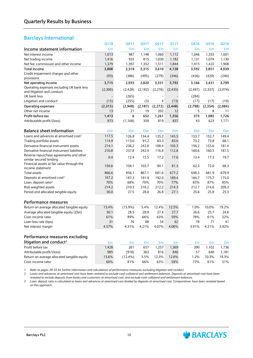### **Barclays International**

|                                                                         | Q118         | Q417       | Q317     | Q217     | Q117     | Q416     | Q316     | Q216    |
|-------------------------------------------------------------------------|--------------|------------|----------|----------|----------|----------|----------|---------|
| Income statement information                                            | £m           | £m         | £m       | £m       | £m       | £m       | £m       | £m      |
| Net interest income                                                     | 1,013        | 987        | 1,148    | 1,060    | 1,112    | 1,046    | 1,355    | 1,001   |
| Net trading income                                                      | 1,416        | 935        | 815      | 1,039    | 1,182    | 1,131    | 1,074    | 1,130   |
| Net fee, commission and other income                                    | 1,379        | 1,397      | 1,352    | 1,511    | 1,844    | 1,415    | 1,422    | 1,908   |
| <b>Total income</b>                                                     | 3,808        | 3,319      | 3,315    | 3,610    | 4,138    | 3,592    | 3,851    | 4,039   |
| Credit impairment charges and other                                     | (93)         | (386)      | (495)    | (279)    | (346)    | (426)    | (420)    | (240)   |
| provisions                                                              |              |            |          |          |          |          |          |         |
| Net operating income                                                    | 3,715        | 2,933      | 2,820    | 3,331    | 3,792    | 3,166    | 3,431    | 3,799   |
| Operating expenses excluding UK bank levy<br>and litigation and conduct | (2,300)      | (2, 428)   | (2, 182) | (2,276)  | (2, 435) | (2, 497) | (2, 337) | (2,074) |
| UK bank levy                                                            |              | (265)      |          |          |          | (284)    |          |         |
| Litigation and conduct <sup>1</sup>                                     | (15)         | (255)      | (5)      | 4        | (13)     | (17)     | (17)     | (10)    |
| <b>Operating expenses</b>                                               | (2,315)      | (2,948)    | (2, 187) | (2, 272) | (2, 448) | (2,798)  | (2, 354) | (2,084) |
| Other net income                                                        | 13           | 21         | 19       | 202      | 12       | 5        | 8        | 11      |
| Profit before tax                                                       | 1,413        | 6          | 652      | 1,261    | 1,356    | 373      | 1,085    | 1,726   |
| Attributable profit/(loss)                                              | 973          | (1, 168)   | 359      | 819      | 837      | 43       | 623      | 1,171   |
|                                                                         |              |            |          |          |          |          |          |         |
| <b>Balance sheet information</b>                                        | £bn          | £bn        | £bn      | £bn      | £bn      | £bn      | £bn      | £bn     |
| Loans and advances at amortised cost <sup>2</sup>                       | 117.5        | 126.8      | 134.4    | 135.2    | 145.5    | 153.7    | 152.7    | 149.4   |
| Trading portfolio assets                                                | 114.9        | 113.0      | 91.2     | 83.3     | 83.0     | 73.2     | 73.8     | 68.1    |
| Derivative financial instrument assets                                  | 214.1        | 236.2      | 242.8    | 108.4    | 105.3    | 156.2    | 155.6    | 181.4   |
| Derivative financial instrument liabilities                             | 210.8        | 237.8      | 242.9    | 116.8    | 112.8    | 160.6    | 160.5    | 187.5   |
| Reverse repurchase agreements and other                                 | 0.4          |            |          |          |          | 13.4     |          |         |
| similar secured lending                                                 |              | 12.4       | 15.5     | 17.2     | 17.6     |          | 17.3     | 19.7    |
| Financial assets at fair value through the                              | 150.6        | 104.1      | 103.7    | 94.1     | 81.3     | 62.3     | 72.0     | 68.3    |
| income statement                                                        |              |            |          |          |          |          |          |         |
| <b>Total assets</b>                                                     | 866.6        | 856.1      | 867.1    | 681.6    | 677.2    | 648.5    | 681.9    | 679.9   |
| Deposits at amortised cost <sup>2</sup>                                 | 167.2        | 187.3      | 191.9    | 192.0    | 189.4    | 184.7    | 175.7    | 175.0   |
| Loan: deposit ratio <sup>3</sup>                                        | 70%<br>214.2 | 68%        | 70%      | 70%      | 77%      | 83%      | 87%      | 85%     |
| Risk weighted assets                                                    |              | 210.3      | 218.2    | 212.2    | 214.3    | 212.7    | 214.6    | 209.3   |
| Period end allocated tangible equity                                    | 30.0         | 27.5       | 28.0     | 26.8     | 27.1     | 25.6     | 25.9     | 25.3    |
| Performance measures                                                    |              |            |          |          |          |          |          |         |
| Return on average allocated tangible equity                             | 13.4%        | $(15.9\%)$ | 5.4%     | 12.4%    | 12.5%    | 1.0%     | 10.0%    | 19.2%   |
| Average allocated tangible equity (£bn)                                 | 30.1         | 28.5       | 28.9     | 27.4     | 27.7     | 26.6     | 25.7     | 24.8    |
| Cost: income ratio                                                      | 61%          | 89%        | 66%      | 63%      | 59%      | 78%      | 61%      | 52%     |
| Loan loss rate (bps)                                                    | 31           | 76         | 88       | 54       | 62       | 78       | 71       | 41      |
| Net interest margin                                                     | 4.57%        | 4.31%      | 4.21%    | 4.07%    | 4.06%    | 3.91%    | 4.21%    | 3.92%   |
|                                                                         |              |            |          |          |          |          |          |         |
| Performance measures excluding                                          |              |            |          |          |          |          |          |         |
| litigation and conduct <sup>1</sup>                                     | £m           | £m         | £m       | £m       | £m       | £m       | £m       | £m      |
| Profit before tax                                                       | 1,428        | 261        | 657      | 1,257    | 1,369    | 390      | 1,102    | 1,736   |
| Attributable profit/(loss)                                              | 985          | (918)      | 363      | 816      | 846      | 57       | 640      | 1,181   |
| Return on average allocated tangible equity                             | 13.6%        | $(12.4\%)$ | 5.5%     | 12.3%    | 12.6%    | 1.2%     | 10.3%    | 19.3%   |
| Cost: income ratio                                                      | 60%          | 81%        | 66%      | 63%      | 59%      | 77%      | 61%      | 51%     |
|                                                                         |              |            |          |          |          |          |          |         |

*1 Refer to pages 29-33 for further information and calculations of performance measures excluding litigation and conduct.*

2 Loans and advances at amortised cost have been restated to exclude cash collateral and settlement balances. Deposits at amortised cost have been restated to include deposits from banks and customers at amortised cost, and exclude cash collateral and settlement balances.

*3 Loan: deposit ratio is calculated as loans and advances at amortised cost divided by deposits at amortised cost. Comparatives have been restated based on this approach.*

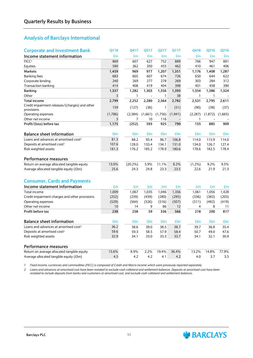### **Analysis of Barclays International**

| <b>Corporate and Investment Bank</b>                         | Q118        | Q417        | Q317       | Q217        | Q117        | Q416       | Q316       | Q216        |
|--------------------------------------------------------------|-------------|-------------|------------|-------------|-------------|------------|------------|-------------|
| Income statement information                                 | £m          | £m          | £m         | £m          | £m          | £m         | £m         | £m          |
| FICC <sup>1</sup>                                            | 869         | 607         | 627        | 752         | 889         | 766        | 947        | 881         |
| Equities                                                     | 590         | 362         | 350        | 455         | 462         | 410        | 461        | 406         |
| <b>Markets</b>                                               | 1,459       | 969         | 977        | 1,207       | 1,351       | 1,176      | 1,408      | 1,287       |
| <b>Banking fees</b>                                          | 683         | 605         | 607        | 674         | 726         | 650        | 644        | 622         |
| Corporate lending                                            | 240         | 269         | 277        | 278         | 269         | 303        | 284        | 312         |
| <b>Transaction banking</b>                                   | 414         | 408         | 419        | 404         | 398         | 401        | 458        | 390         |
| <b>Banking</b>                                               | 1,337       | 1,282       | 1,303      | 1,356       | 1,393       | 1,354      | 1,386      | 1,324       |
| Other                                                        | 3           | 1           |            | 1           | 38          | 1          | 1          |             |
| <b>Total income</b>                                          | 2,799       | 2,252       | 2,280      | 2,564       | 2,782       | 2,531      | 2,795      | 2,611       |
| Credit impairment releases/(charges) and other<br>provisions | 159         | (127)       | (36)       | 1           | (51)        | (90)       | (38)       | (37)        |
| Operating expenses                                           | (1,786)     | (2, 384)    | (1,661)    | (1,756)     | (1, 941)    | (2, 287)   | (1, 872)   | (1,665)     |
| Other net income                                             | 3           | 7           | 10         | 116         |             | 1          |            |             |
| Profit/(loss) before tax                                     | 1,175       | (252)       | 593        | 925         | 790         | 155        | 885        | 909         |
| <b>Balance sheet information</b>                             | £bn         | £bn         | £bn        | £bn         | £bn         | £bn        | £bn        | £bn         |
| Loans and advances at amortised cost <sup>2</sup>            | 81.3        | 88.2        | 95.4       | 96.7        | 106.8       | 114.0      | 115.9      | 114.0       |
| Deposits at amortised cost <sup>2</sup>                      | 107.6       | 128.0       | 133.4      | 134.1       | 131.0       | 134.0      | 126.7      | 127.4       |
| Risk weighted assets                                         | 181.3       | 176.2       | 185.2      | 178.9       | 180.6       | 178.6      | 182.5      | 178.4       |
| Performance measures                                         |             |             |            |             |             |            |            |             |
| Return on average allocated tangible equity                  | 13.0%       | $(20.2\%)$  | 5.9%       | 11.1%       | 8.2%        | $(1.2\%)$  | 9.2%       | 9.5%        |
| Average allocated tangible equity (£bn)                      | 25.6        | 24.3        | 24.8       | 23.3        | 23.5        | 22.6       | 21.9       | 21.3        |
| <b>Consumer, Cards and Payments</b>                          |             |             |            |             |             |            |            |             |
| Income statement information                                 |             |             |            |             |             |            |            |             |
|                                                              | £m          | £m          | £m         | £m          | £m          | £m         | £m         | £m          |
| Total income                                                 | 1,009       | 1,067       | 1,035      | 1,046       | 1,356       | 1,061      | 1,056      | 1,428       |
| Credit impairment charges and other provisions               | (252)       | (259)       | (459)      | (280)       | (295)       | (336)      | (382)      | (203)       |
| Operating expenses<br>Other net income                       | (529)<br>10 | (564)<br>14 | (526)<br>9 | (516)<br>86 | (507)<br>12 | (511)<br>4 | (482)<br>8 | (419)<br>11 |
| Profit before tax                                            | 238         | 258         | 59         | 336         | 566         | 218        | 200        | 817         |
|                                                              |             |             |            |             |             |            |            |             |
| <b>Balance sheet information</b>                             | £bn         | £bn         | £bn        | £bn         | £bn         | £bn        | £bn        | £bn         |
| Loans and advances at amortised cost <sup>2</sup>            | 36.2        | 38.6        | 39.0       | 38.5        | 38.7        | 39.7       | 36.8       | 35.4        |
| Deposits at amortised cost <sup>2</sup>                      | 59.6        | 59.3        | 58.5       | 57.9        | 58.4        | 50.7       | 49.0       | 47.6        |
| Risk weighted assets                                         | 32.9        | 34.1        | 33.0       | 33.3        | 33.7        | 34.1       | 32.1       | 30.9        |
| Performance measures                                         |             |             |            |             |             |            |            |             |
| Return on average allocated tangible equity                  | 15.6%       | 8.9%        | 2.2%       | 19.4%       | 36.4%       | 13.2%      | 14.8%      | 77.9%       |
| Average allocated tangible equity (£bn)                      | 4.5         | 4.2         | 4.2        | 4.1         | 4.2         | 4.0        | 3.7        | 3.5         |

1 Fixed income, currencies and commodities (FICC) is composed of Credit and Macro income which were previously reported separately.

2 Loans and advances at amortised cost have been restated to exclude cash collateral and settlement balances. Deposits at amortised cost have been restated to include deposits from banks and customers at amortised cost, and exclude cash collateral and settlement balances.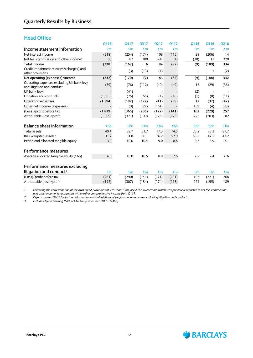### **Head Office**

|                                                                         | 0118     | Q417  | 0317  | 0217  | 0117  | Q416 | 0316  | Q216 |
|-------------------------------------------------------------------------|----------|-------|-------|-------|-------|------|-------|------|
| Income statement information                                            | £m       | £m    | £m    | £m    | £m    | £m   | £m    | £m   |
| Net interest income                                                     | (318)    | (254) | (174) | 108   | (115) | 29   | (206) | 14   |
| Net fee, commission and other income <sup>1</sup>                       | 80       | 87    | 180   | (24)  | 33    | (38) | 17    | 320  |
| <b>Total income</b>                                                     | (238)    | (167) | 6     | 84    | (82)  | (9)  | (189) | 334  |
| Credit impairment releases/(charges) and<br>other provisions            | 6        | (3)   | (13)  | (1)   |       |      | 1     | (2)  |
| Net operating (expenses)/income                                         | (232)    | (170) | (7)   | 83    | (82)  | (9)  | (188) | 332  |
| Operating expenses excluding UK bank levy<br>and litigation and conduct | (59)     | (76)  | (112) | (40)  | (49)  | 15   | (29)  | (36) |
| UK bank levy                                                            |          | (41)  |       |       |       | (2)  |       |      |
| Litigation and conduct <sup>2</sup>                                     | (1,535)  | (75)  | (65)  | (1)   | (10)  | (1)  | (8)   | (11) |
| <b>Operating expenses</b>                                               | (1, 594) | (192) | (177) | (41)  | (59)  | 12   | (37)  | (47) |
| Other net income/(expenses)                                             | 7        | (3)   | (22)  | (164) |       | 159  | (4)   | (28) |
| (Loss)/profit before tax                                                | (1, 819) | (365) | (206) | (122) | (141) | 162  | (229) | 257  |
| Attributable (loss)/profit                                              | (1,699)  | (371) | (199) | (175) | (123) | 223  | (203) | 182  |
| <b>Balance sheet information</b>                                        | £bn      | £bn   | £bn   | £bn   | £bn   | £bn  | £bn   | £bn  |
| <b>Total assets</b>                                                     | 40.4     | 39.7  | 51.7  | 17.3  | 74.5  | 75.2 | 73.3  | 87.7 |
| Risk weighted assets <sup>3</sup>                                       | 31.2     | 31.8  | 36.1  | 26.2  | 52.9  | 53.3 | 47.5  | 43.2 |
| Period end allocated tangible equity                                    | 3.0      | 10.0  | 10.4  | 9.0   | 8.8   | 9.7  | 6.9   | 7.1  |
| Performance measures                                                    |          |       |       |       |       |      |       |      |
| Average allocated tangible equity (£bn)                                 | 4.3      | 10.0  | 10.5  | 8.8   | 7.6   | 7.2  | 7.4   | 6.6  |
| Performance measures excluding                                          |          |       |       |       |       |      |       |      |
| litigation and conduct <sup>2</sup>                                     | £m       | £m    | £m    | £m    | £m    | £m   | £m    | £m   |
| (Loss)/profit before tax                                                | (284)    | (290) | (141) | (121) | (131) | 163  | (221) | 268  |
| Attributable (loss)/profit                                              | (192)    | (307) | (134) | (174) | (116) | 224  | (195) | 189  |

*1 Following the early adoption of the own credit provisions of IFRS 9 on 1 January 2017, own credit, which was previously reported in net fee, commission and other income, is recognised within other comprehensive income from Q117.* 

*2 Refer to pages 29-33 for further information and calculations of performance measures excluding litigation and conduct.*

*3 Includes Africa Banking RWAs of £6.4bn (December 2017: £6.4bn).*

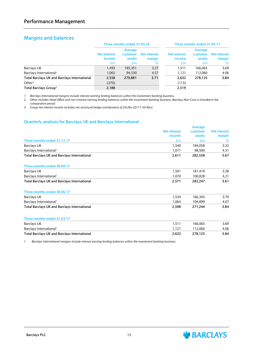### **Margins and balances**

|                                                     |                               | Three months ended 31.03.18 |                               |                               | Three months ended 31.03.17 |                               |  |  |
|-----------------------------------------------------|-------------------------------|-----------------------------|-------------------------------|-------------------------------|-----------------------------|-------------------------------|--|--|
|                                                     |                               | Average                     |                               |                               | Average                     |                               |  |  |
|                                                     | <b>Net interest</b><br>income | customer<br>assets          | <b>Net interest</b><br>margin | <b>Net interest</b><br>income | customer<br>assets          | <b>Net interest</b><br>margin |  |  |
|                                                     | £m                            | £m                          | $\%$                          | £m                            | £m                          | %                             |  |  |
| Barclays UK                                         | 1.493                         | 185.351                     | 3.27                          | 1.511                         | 166.065                     | 3.69                          |  |  |
| Barclays International <sup>1</sup>                 | 1.065                         | 94,530                      | 4.57                          | 1.121                         | 112.060                     | 4.06                          |  |  |
| <b>Total Barclays UK and Barclays International</b> | 2,558                         | 279.881                     | 3.71                          | 2,632                         | 278.125                     | 3.84                          |  |  |
| Other <sup>2</sup>                                  | (370)                         |                             |                               | (113)                         |                             |                               |  |  |
| Total Barclays Group <sup>3</sup>                   | 2,188                         |                             |                               | 2,519                         |                             |                               |  |  |

*1 Barclays International margins include interest earning lending balances within the investment banking business.*

2 Other includes Head Office and non-interest earning lending balances within the investment banking business. Barclays Non-Core is included in the *comparative period.*

*3 Group net interest income includes net structural hedge contributions of £0.2bn (Q117: £0.4bn).*

#### **Quarterly analysis for Barclays UK and Barclays International**

|                                                     |                     | Average  |                     |
|-----------------------------------------------------|---------------------|----------|---------------------|
|                                                     | <b>Net interest</b> | customer | <b>Net interest</b> |
|                                                     | income              | assets   | margin              |
| Three months ended 31.12.17                         | £m                  | £m       | %                   |
| <b>Barclays UK</b>                                  | 1,540               | 184,058  | 3.32                |
| Barclays International <sup>1</sup>                 | 1,071               | 98,500   | 4.31                |
| <b>Total Barclays UK and Barclays International</b> | 2,611               | 282,558  | 3.67                |
| Three months ended 30.09.17                         |                     |          |                     |
| <b>Barclays UK</b>                                  | 1,501               | 181,419  | 3.28                |
| Barclays International <sup>1</sup>                 | 1,070               | 100,828  | 4.21                |
| <b>Total Barclays UK and Barclays International</b> | 2,571               | 282,247  | 3.61                |
| Three months ended 30.06.17                         |                     |          |                     |
| <b>Barclays UK</b>                                  | 1,534               | 166,345  | 3.70                |
| Barclays International <sup>1</sup>                 | 1,064               | 104.899  | 4.07                |
| Total Barclays UK and Barclays International        | 2,598               | 271,244  | 3.84                |
| Three months ended 31.03.17                         |                     |          |                     |
| <b>Barclays UK</b>                                  | 1,511               | 166,065  | 3.69                |
| Barclays International <sup>1</sup>                 | 1,121               | 112,060  | 4.06                |
| Total Barclays UK and Barclays International        | 2,632               | 278,125  | 3.84                |

*1 Barclays International margins include interest earning lending balances within the investment banking business.*

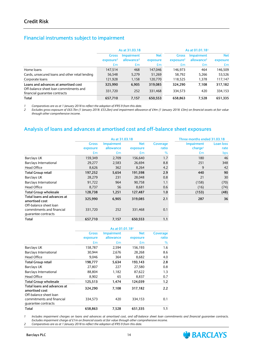#### **Financial instruments subject to impairment**

|                                                                         |                       | As at 31.03.18         |            | As at 01.01.181       |                        |            |  |
|-------------------------------------------------------------------------|-----------------------|------------------------|------------|-----------------------|------------------------|------------|--|
|                                                                         | <b>Gross</b>          | <b>Impairment</b>      | <b>Net</b> | <b>Gross</b>          | <b>Impairment</b>      | <b>Net</b> |  |
|                                                                         | exposure <sup>2</sup> | allowance <sup>2</sup> | exposure   | exposure <sup>2</sup> | allowance <sup>2</sup> | exposure   |  |
|                                                                         | £m                    | £m                     | £m         | £m                    | £m                     | £m         |  |
| Home loans                                                              | 147.514               | 468                    | 147.046    | 146.973               | 464                    | 146.509    |  |
| Cards, unsecured loans and other retail lending                         | 56,548                | 5,279                  | 51,269     | 58.792                | 5,266                  | 53,526     |  |
| Corporate loans                                                         | 121,928               | 1,158                  | 120,770    | 118,525               | 1,378                  | 117,147    |  |
| Loans and advances at amortised cost                                    | 325,990               | 6,905                  | 319,085    | 324,290               | 7,108                  | 317,182    |  |
| Off-balance sheet loan commitments and<br>financial quarantee contracts | 331.720               | 252                    | 331.468    | 334.573               | 420                    | 334.153    |  |
| Total                                                                   | 657,710               | 7,157                  | 650,553    | 658,863               | 7,528                  | 651,335    |  |

*1 Comparatives are as at 1 January 2018 to reflect the adoption of IFRS 9 from this date. 2 Excludes gross exposure of £63.7bn (1 January 2018: £53.2bn) and impairment allowance of £4m (1 January 2018: £3m) on financial assets at fair value through other comprehensive income.*

### **Analysis of loans and advances at amortised cost and off-balance sheet exposures**

|                                                  |              | As at 31.03.18    |            |          | Three months ended 31.03.18 |                  |
|--------------------------------------------------|--------------|-------------------|------------|----------|-----------------------------|------------------|
|                                                  | <b>Gross</b> | <b>Impairment</b> | <b>Net</b> | Coverage | <b>Impairment</b>           | <b>Loan loss</b> |
|                                                  | exposure     | allowance         | exposure   | ratio    | charge <sup>1</sup>         | rate             |
|                                                  | £m           | £m                | £m         | %        | £m                          | bps              |
| <b>Barclays UK</b>                               | 159,349      | 2,709             | 156,640    | 1.7      | 180                         | 46               |
| <b>Barclays International</b>                    | 29,277       | 2,583             | 26,694     | 8.8      | 251                         | 348              |
| Head Office                                      | 8,626        | 362               | 8,264      | 4.2      | 9                           | 42               |
| <b>Total Group retail</b>                        | 197,252      | 5,654             | 191,598    | 2.9      | 440                         | 90               |
| <b>Barclays UK</b>                               | 28,279       | 231               | 28,048     | 0.8      | 21                          | 30               |
| Barclays International                           | 91,722       | 964               | 90.758     | 1.1      | (158)                       | (70)             |
| Head Office                                      | 8,737        | 56                | 8,681      | 0.6      | (16)                        | (74)             |
| <b>Total Group wholesale</b>                     | 128,738      | 1,251             | 127,487    | 1.0      | (153)                       | (48)             |
| Total loans and advances at<br>amortised cost    | 325,990      | 6,905             | 319,085    | 2.1      | 287                         | 36               |
| Off-balance sheet loan                           |              |                   |            |          |                             |                  |
| commitments and financial<br>quarantee contracts | 331,720      | 252               | 331,468    | 0.1      |                             |                  |
| Total                                            | 657,710      | 7,157             | 650,553    | 1.1      |                             |                  |

|                                                                         | As at 01.01.18 <sup>2</sup> |                   |            |          |  |  |
|-------------------------------------------------------------------------|-----------------------------|-------------------|------------|----------|--|--|
|                                                                         | Gross                       | <b>Impairment</b> | <b>Net</b> | Coverage |  |  |
|                                                                         | exposure                    | allowance         | exposure   | ratio    |  |  |
|                                                                         | £m                          | £m                | £m         | %        |  |  |
| <b>Barclays UK</b>                                                      | 158,787                     | 2,594             | 156,193    | 1.6      |  |  |
| Barclays International                                                  | 30,944                      | 2,676             | 28,268     | 8.6      |  |  |
| <b>Head Office</b>                                                      | 9,046                       | 364               | 8,682      | 4.0      |  |  |
| <b>Total Group retail</b>                                               | 198,777                     | 5,634             | 193,143    | 2.8      |  |  |
| <b>Barclays UK</b>                                                      | 27,807                      | 227               | 27,580     | 0.8      |  |  |
| Barclays International                                                  | 88,804                      | 1,182             | 87,622     | 1.3      |  |  |
| <b>Head Office</b>                                                      | 8,902                       | 65                | 8,837      | 0.7      |  |  |
| <b>Total Group wholesale</b>                                            | 125,513                     | 1,474             | 124,039    | $1.2\,$  |  |  |
| Total loans and advances at<br>amortised cost<br>Off-balance sheet loan | 324,290                     | 7,108             | 317,182    | 2.2      |  |  |
| commitments and financial<br>quarantee contracts                        | 334,573                     | 420               | 334,153    | 0.1      |  |  |
| Total                                                                   | 658,863                     | 7,528             | 651,335    | 1.1      |  |  |

*1 Includes impairment charges on loans and advances at amortised cost, and off-balance sheet loan commitments and financial guarantee contracts. Excludes impairment charge of £1m on financial assets at fair value through other comprehensive income.*

*2 Comparatives are as at 1 January 2018 to reflect the adoption of IFRS 9 from this date.*

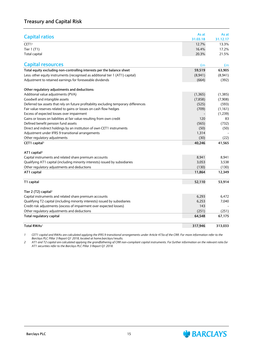|                                                                                       | As at    | As at    |
|---------------------------------------------------------------------------------------|----------|----------|
| <b>Capital ratios</b>                                                                 | 31.03.18 | 31.12.17 |
| CET11                                                                                 | 12.7%    | 13.3%    |
| Tier 1 (T1)                                                                           | 16.4%    | 17.2%    |
| <b>Total capital</b>                                                                  | 20.3%    | 21.5%    |
|                                                                                       |          |          |
| <b>Capital resources</b>                                                              | £m       | £m       |
| Total equity excluding non-controlling interests per the balance sheet                | 59,519   | 63,905   |
| Less: other equity instruments (recognised as additional tier 1 (AT1) capital)        | (8,941)  | (8,941)  |
| Adjustment to retained earnings for foreseeable dividends                             | (664)    | (392)    |
| Other regulatory adjustments and deductions:                                          |          |          |
| Additional value adjustments (PVA)                                                    | (1, 365) | (1, 385) |
| Goodwill and intangible assets                                                        | (7, 858) | (7,908)  |
| Deferred tax assets that rely on future profitability excluding temporary differences | (525)    | (593)    |
| Fair value reserves related to gains or losses on cash flow hedges                    | (709)    | (1, 161) |
| Excess of expected losses over impairment                                             |          | (1, 239) |
| Gains or losses on liabilities at fair value resulting from own credit                | 120      | 83       |
| Defined benefit pension fund assets                                                   | (565)    | (732)    |
| Direct and indirect holdings by an institution of own CET1 instruments                | (50)     | (50)     |
| Adjustment under IFRS 9 transitional arrangements                                     | 1,314    |          |
| Other regulatory adjustments                                                          | (30)     | (22)     |
| CET1 capital <sup>1</sup>                                                             | 40,246   | 41,565   |
|                                                                                       |          |          |
| AT1 capital <sup>2</sup>                                                              |          |          |
| Capital instruments and related share premium accounts                                | 8,941    | 8,941    |
| Qualifying AT1 capital (including minority interests) issued by subsidiaries          | 3,053    | 3,538    |
| Other regulatory adjustments and deductions                                           | (130)    | (130)    |
| AT1 capital                                                                           | 11,864   | 12,349   |
| T1 capital                                                                            | 52,110   | 53,914   |
| Tier 2 (T2) capital <sup>2</sup>                                                      |          |          |
| Capital instruments and related share premium accounts                                | 6,293    | 6,472    |
| Qualifying T2 capital (including minority interests) issued by subsidiaries           | 6,253    | 7,040    |
| Credit risk adjustments (excess of impairment over expected losses)                   | 143      |          |
| Other regulatory adjustments and deductions                                           | (251)    | (251)    |
| Total regulatory capital                                                              | 64,548   | 67,175   |
| Total RWAs <sup>1</sup>                                                               | 317,946  | 313.033  |

1 CET1 capital and RWAs are calculated applying the IFRS 9 transitional arrangements under Article 473a of the CRR. For more information refer to the *Barclays PLC Pillar 3 Report Q1 2018, located at home.barclays/results.*

2 AT1 and T2 capital are calculated applying the grandfathering of CRR non-compliant capital instruments. For further information on the relevant ratio for *AT1 securities refer to the Barclays PLC Pillar 3 Report Q1 2018.*

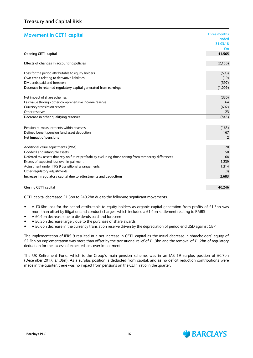| <b>Movement in CET1 capital</b>                                                                          | Three months   |
|----------------------------------------------------------------------------------------------------------|----------------|
|                                                                                                          | ended          |
|                                                                                                          | 31.03.18       |
|                                                                                                          | £m             |
| Opening CET1 capital                                                                                     | 41,565         |
| Effects of changes in accounting policies                                                                | (2, 150)       |
| Loss for the period attributable to equity holders                                                       | (593)          |
| Own credit relating to derivative liabilities                                                            | (19)           |
| Dividends paid and foreseen                                                                              | (397)          |
| Decrease in retained regulatory capital generated from earnings                                          | (1,009)        |
| Net impact of share schemes                                                                              | (330)          |
| Fair value through other comprehensive income reserve                                                    | 64             |
| Currency translation reserve                                                                             | (602)          |
| Other reserves                                                                                           | 23             |
| Decrease in other qualifying reserves                                                                    | (845)          |
|                                                                                                          |                |
| Pension re-measurements within reserves                                                                  | (165)          |
| Defined benefit pension fund asset deduction                                                             | 167            |
| Net impact of pensions                                                                                   | $\overline{2}$ |
| Additional value adjustments (PVA)                                                                       | 20             |
| Goodwill and intangible assets                                                                           | 50             |
| Deferred tax assets that rely on future profitability excluding those arising from temporary differences | 68             |
| Excess of expected loss over impairment                                                                  | 1,239          |
| Adjustment under IFRS 9 transitional arrangements                                                        | 1,314          |
| Other regulatory adjustments                                                                             | (8)            |
| Increase in regulatory capital due to adjustments and deductions                                         | 2,683          |
| <b>Closing CET1 capital</b>                                                                              | 40,246         |

CET1 capital decreased £1.3bn to £40.2bn due to the following significant movements:

- A £0.6bn loss for the period attributable to equity holders as organic capital generation from profits of £1.3bn was more than offset by litigation and conduct charges, which included a £1.4bn settlement relating to RMBS
- A £0.4bn decrease due to dividends paid and foreseen
- A £0.3bn decrease largely due to the purchase of share awards
- A £0.6bn decrease in the currency translation reserve driven by the depreciation of period end USD against GBP

The implementation of IFRS 9 resulted in a net increase in CET1 capital as the initial decrease in shareholders' equity of £2.2bn on implementation was more than offset by the transitional relief of £1.3bn and the removal of £1.2bn of regulatory deduction for the excess of expected loss over impairment.

The UK Retirement Fund, which is the Group's main pension scheme, was in an IAS 19 surplus position of £0.7bn (December 2017: £1.0bn). As a surplus position is deducted from capital, and as no deficit reduction contributions were made in the quarter, there was no impact from pensions on the CET1 ratio in the quarter.

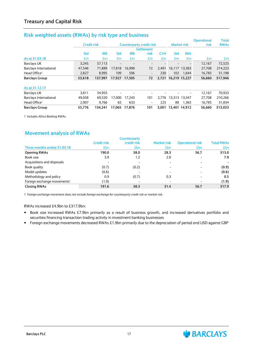| <b>NISK WEIGHTED ASSELS (KYYAS) DY TISK LYPE AND DUSTIESS</b> |                    |            |            |               |                                 |            |                     |                          |                            |                             |
|---------------------------------------------------------------|--------------------|------------|------------|---------------|---------------------------------|------------|---------------------|--------------------------|----------------------------|-----------------------------|
|                                                               | <b>Credit risk</b> |            |            |               | <b>Counterparty credit risk</b> |            |                     | <b>Market risk</b>       | <b>Operational</b><br>risk | <b>Total</b><br><b>RWAs</b> |
|                                                               |                    |            |            |               | <b>Settlement</b>               |            |                     |                          |                            |                             |
|                                                               | <b>Std</b>         | <b>IRB</b> | <b>Std</b> | <b>IRB</b>    | risk                            | <b>CVA</b> | <b>Std</b>          | <b>IMA</b>               |                            |                             |
| As at 31.03.18                                                | £m                 | Em         | £m         | £m            | £m                              | £m         | £m                  | £m                       | Em                         | £m                          |
| <b>Barclays UK</b>                                            | 3,245              | 57.113     |            |               | $\overline{\phantom{a}}$        |            |                     | $\overline{\phantom{a}}$ | 12,167                     | 72,525                      |
| <b>Barclays International</b>                                 | 47,546             | 71.889     | 17.818     | 16.999        | 72                              | 2.491      |                     | 16.117 13.583            | 27.708                     | 214,223                     |
| Head Office <sup>1</sup>                                      | 2,827              | 8,995      | 109        | 506           | $\overline{\phantom{a}}$        | 230        | 102                 | 1,644                    | 16,785                     | 31,198                      |
| <b>Barclays Group</b>                                         | 53,618             | 137.997    |            | 17.927 17.505 | 72                              |            | 2,721 16,219 15,227 |                          | 56,660                     | 317,946                     |
| As at 31.12.17                                                |                    |            |            |               |                                 |            |                     |                          |                            |                             |
| <b>Barclays UK</b>                                            | 3.811              | 54,955     |            |               |                                 |            |                     |                          | 12,167                     | 70,933                      |
| <b>Barclays International</b>                                 | 49,058             | 69.520     | 17.000     | 17.243        | 101                             | 2.776      |                     | 13,313 13,547            | 27.708                     | 210,266                     |
| Head Office <sup>1</sup>                                      | 2,907              | 9.766      | 65         | 633           | $\overline{\phantom{a}}$        | 225        | 88                  | 1,365                    | 16,785                     | 31,834                      |
| <b>Barclays Group</b>                                         | 55,776             | 134.241    |            | 17.065 17.876 | 101                             | 3.001      |                     | 13.401 14.912            | 56.660                     | 313.033                     |

### **Risk weighted assets (RWAs) by risk type and business**

*1 Includes Africa Banking RWAs.*

#### **Movement analysis of RWAs**

|                                         |                          | <b>Counterparty</b> |                    |                          |                   |
|-----------------------------------------|--------------------------|---------------------|--------------------|--------------------------|-------------------|
|                                         | <b>Credit risk</b>       | credit risk         | <b>Market risk</b> | <b>Operational risk</b>  | <b>Total RWAs</b> |
| Three months ended 31.03.18             | £bn                      | <b>£bn</b>          | £bn                | £bn                      | <b>£bn</b>        |
| <b>Opening RWAs</b>                     | 190.0                    | 38.0                | 28.3               | 56.7                     | 313.0             |
| Book size                               | 3.9                      | 1.2                 | 2.8                | $\overline{\phantom{a}}$ | 7.9               |
| Acquisitions and disposals              | $\overline{\phantom{0}}$ |                     |                    |                          |                   |
| Book quality                            | (0.7)                    | (0.2)               |                    | $\overline{\phantom{a}}$ | (0.9)             |
| Model updates                           | (0.6)                    |                     |                    | $\overline{\phantom{0}}$ | (0.6)             |
| Methodology and policy                  | 0.9                      | (0.7)               | 0.3                |                          | 0.5               |
| Foreign exchange movements <sup>1</sup> | (1.9)                    |                     |                    | $\overline{\phantom{a}}$ | (1.9)             |
| <b>Closing RWAs</b>                     | 191.6                    | 38.3                | 31.4               | 56.7                     | 317.9             |

*1 Foreign exchange movement does not include foreign exchange for counterparty credit risk or market risk.*

#### RWAs increased £4.9bn to £317.9bn:

- Book size increased RWAs £7.9bn primarily as a result of business growth, and increased derivatives portfolio and securities financing transaction trading activity in investment banking businesses
- Foreign exchange movements decreased RWAs £1.9bn primarily due to the depreciation of period end USD against GBP



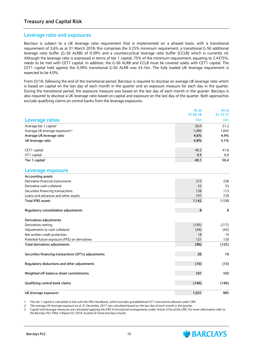### **Treasury and Capital Risk**

#### **Leverage ratio and exposures**

Barclays is subject to a UK leverage ratio requirement that is implemented on a phased basis, with a transitional requirement of 3.6% as at 31 March 2018; this comprises the 3.25% minimum requirement, a transitional G-SII additional leverage ratio buffer (G-SII ALRB) of 0.39% and a countercyclical leverage ratio buffer (CCLB) which is currently nil. Although the leverage ratio is expressed in terms of tier 1 capital, 75% of the minimum requirement, equating to 2.4375%, needs to be met with CET1 capital. In addition, the G-SII ALRB and CCLB must be covered solely with CET1 capital. The CET1 capital held against the 0.39% transitional G-SII ALRB was £4.1bn. The fully loaded UK leverage requirement is expected to be 4.0%.

From Q118, following the end of the transitional period, Barclays is required to disclose an average UK leverage ratio which is based on capital on the last day of each month in the quarter and an exposure measure for each day in the quarter. During the transitional period, the exposure measure was based on the last day of each month in the quarter. Barclays is also required to disclose a UK leverage ratio based on capital and exposure on the last day of the quarter. Both approaches exclude qualifying claims on central banks from the leverage exposures.

|                                                      | As at    | As at    |
|------------------------------------------------------|----------|----------|
|                                                      | 31.03.18 | 31.12.17 |
| <b>Leverage ratios</b>                               | £bn      | £bn      |
| Average tier 1 capital <sup>1</sup>                  | 50.0     | 51.2     |
| Average UK leverage exposure <sup>2,3</sup>          | 1,090    | 1,045    |
| Average UK leverage ratio                            | 4.6%     | 4.9%     |
| UK leverage ratio                                    | 4.8%     | 5.1%     |
| CET1 capital                                         | 40.2     | 41.6     |
| AT1 capital                                          | 8.8      | 8.8      |
| Tier 1 capital <sup>1</sup>                          | 49.1     | 50.4     |
| Leverage exposure                                    |          |          |
| <b>Accounting assets</b>                             |          |          |
| Derivative financial instruments                     | 215      | 238      |
| Derivative cash collateral                           | 52       | 53       |
| Securities financing transactions                    | 128      | 113      |
| Loans and advances and other assets                  | 747      | 729      |
| <b>Total IFRS assets</b>                             | 1,142    | 1,133    |
| Regulatory consolidation adjustments                 | 8        | 8        |
| Derivatives adjustments                              |          |          |
| Derivatives netting                                  | (195)    | (217)    |
| Adjustments to cash collateral                       | (34)     | (42)     |
| Net written credit protection                        | 18       | 14       |
| Potential future exposure (PFE) on derivatives       | 121      | 120      |
| Total derivatives adjustments                        | (90)     | (125)    |
| Securities financing transactions (SFTs) adjustments | 20       | 19       |
| Regulatory deductions and other adjustments          | (10)     | (13)     |
| Weighted off-balance sheet commitments               | 101      | 103      |
| Qualifying central bank claims                       | (140)    | (140)    |
| UK leverage exposure <sup>3</sup>                    | 1,031    | 985      |

The tier 1 capital is calculated in line with the PRA Handbook, which excludes grandfathered AT1 instruments allowed under CRR.

The average UK leverage exposure as at 31 December 2017 was calculated based on the last day of each month in the quarter.

3 Capital and leverage measures are calculated applying the IFRS 9 transitional arrangements under Article 473a of the CRR. For more information refer to *the Barclays PLC Pillar 3 Report Q1 2018, located at home.barclays/results.*

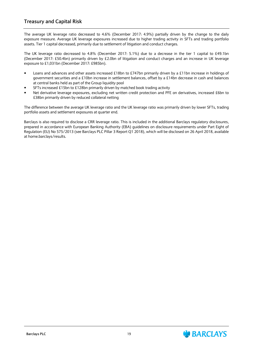### **Treasury and Capital Risk**

The average UK leverage ratio decreased to 4.6% (December 2017: 4.9%) partially driven by the change to the daily exposure measure. Average UK leverage exposures increased due to higher trading activity in SFTs and trading portfolio assets. Tier 1 capital decreased, primarily due to settlement of litigation and conduct charges.

The UK leverage ratio decreased to 4.8% (December 2017: 5.1%) due to a decrease in the tier 1 capital to £49.1bn (December 2017: £50.4bn) primarily driven by £2.0bn of litigation and conduct charges and an increase in UK leverage exposure to £1,031bn (December 2017: £985bn).

- Loans and advances and other assets increased £18bn to £747bn primarily driven by a £11bn increase in holdings of government securities and a £10bn increase in settlement balances, offset by a £14bn decrease in cash and balances at central banks held as part of the Group liquidity pool
- SFTs increased £15bn to £128bn primarily driven by matched book trading activity
- Net derivative leverage exposures, excluding net written credit protection and PFE on derivatives, increased £6bn to £38bn primarily driven by reduced collateral netting

The difference between the average UK leverage ratio and the UK leverage ratio was primarily driven by lower SFTs, trading portfolio assets and settlement exposures at quarter end.

Barclays is also required to disclose a CRR leverage ratio. This is included in the additional Barclays regulatory disclosures, prepared in accordance with European Banking Authority (EBA) guidelines on disclosure requirements under Part Eight of Regulation (EU) No 575/2013 (see Barclays PLC Pillar 3 Report Q1 2018), which will be disclosed on 26 April 2018, available at home.barclays/results.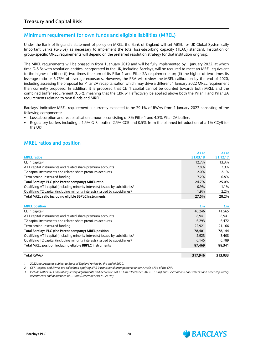### **Minimum requirement for own funds and eligible liabilities (MREL)**

Under the Bank of England's statement of policy on MREL, the Bank of England will set MREL for UK Global Systemically Important Banks (G-SIBs) as necessary to implement the total loss-absorbing capacity (TLAC) standard. Institution or group-specific MREL requirements will depend on the preferred resolution strategy for that institution or group.

The MREL requirements will be phased in from 1 January 2019 and will be fully implemented by 1 January 2022, at which time G-SIBs with resolution entities incorporated in the UK, including Barclays, will be required to meet an MREL equivalent to the higher of either: (i) two times the sum of its Pillar 1 and Pillar 2A requirements or; (ii) the higher of two times its leverage ratio or 6.75% of leverage exposures. However, the PRA will review the MREL calibration by the end of 2020, including assessing the proposal for Pillar 2A recapitalisation which may drive a different 1 January 2022 MREL requirement than currently proposed. In addition, it is proposed that CET1 capital cannot be counted towards both MREL and the combined buffer requirement (CBR), meaning that the CBR will effectively be applied above both the Pillar 1 and Pillar 2A requirements relating to own funds and MREL.

Barclays' indicative MREL requirement is currently expected to be 29.1% of RWAs from 1 January 2022 consisting of the following components:

- Loss absorption and recapitalisation amounts consisting of 8% Pillar 1 and 4.3% Pillar 2A buffers
- Regulatory buffers including a 1.5% G-SII buffer, 2.5% CCB and 0.5% from the planned introduction of a 1% CCyB for the UK<sup>1</sup>

### **MREL ratios and position**

|                                                                                           | As at    | As at    |
|-------------------------------------------------------------------------------------------|----------|----------|
| <b>MREL ratios</b>                                                                        | 31.03.18 | 31.12.17 |
| CET1 capital <sup>2</sup>                                                                 | 12.7%    | 13.3%    |
| AT1 capital instruments and related share premium accounts                                | 2.8%     | 2.9%     |
| T2 capital instruments and related share premium accounts                                 | 2.0%     | 2.1%     |
| Term senior unsecured funding                                                             | 7.2%     | 6.8%     |
| Total Barclays PLC (the Parent company) MREL ratio                                        | 24.7%    | 25.0%    |
| Qualifying AT1 capital (including minority interests) issued by subsidiaries <sup>3</sup> | 0.9%     | 1.1%     |
| Qualifying T2 capital (including minority interests) issued by subsidiaries <sup>3</sup>  | 1.9%     | 2.2%     |
| Total MREL ratio including eligible BBPLC instruments                                     | 27.5%    | 28.2%    |
|                                                                                           |          |          |
| <b>MREL</b> position                                                                      | £m       | £m       |
| CET1 capital <sup>2</sup>                                                                 | 40,246   | 41,565   |
| AT1 capital instruments and related share premium accounts                                | 8,941    | 8,941    |
| T2 capital instruments and related share premium accounts                                 | 6,293    | 6,472    |
| Term senior unsecured funding                                                             | 22,921   | 21,166   |
| Total Barclays PLC (the Parent company) MREL position                                     | 78,401   | 78,144   |
| Qualifying AT1 capital (including minority interests) issued by subsidiaries <sup>3</sup> | 2,923    | 3,408    |
| Qualifying T2 capital (including minority interests) issued by subsidiaries <sup>3</sup>  | 6,145    | 6,789    |
| Total MREL position including eligible BBPLC instruments                                  | 87,469   | 88,341   |
| Total RWAs <sup>2</sup>                                                                   | 317,946  | 313,033  |

*1 2022 requirements subject to Bank of England review by the end of 2020.*

*2 CET1 capital and RWAs are calculated applying IFRS 9 transitional arrangements under Article 473a of the CRR.*

*3 Includes other AT1 capital regulatory adjustments and deductions of £130m (December 2017: £130m) and T2 credit risk adjustments and other regulatory adjustments and deductions of £108m (December 2017: £251m).*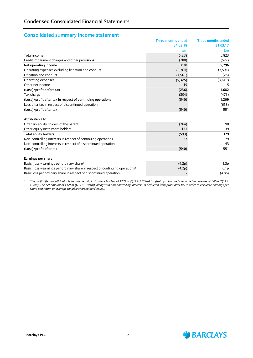#### **Consolidated summary income statement**

|                                                                                           | <b>Three months ended</b> | Three months ended |
|-------------------------------------------------------------------------------------------|---------------------------|--------------------|
|                                                                                           | 31.03.18                  | 31.03.17           |
|                                                                                           | £m                        | £m                 |
| Total income                                                                              | 5,358                     | 5.823              |
| Credit impairment charges and other provisions                                            | (288)                     | (527)              |
| Net operating income                                                                      | 5,070                     | 5,296              |
| Operating expenses excluding litigation and conduct                                       | (3,364)                   | (3,591)            |
| Litigation and conduct                                                                    | (1,961)                   | (28)               |
| <b>Operating expenses</b>                                                                 | (5, 325)                  | (3,619)            |
| Other net income                                                                          | 19                        | 5                  |
| (Loss)/profit before tax                                                                  | (236)                     | 1,682              |
| Tax charge                                                                                | (304)                     | (473)              |
| (Loss)/profit after tax in respect of continuing operations                               | (540)                     | 1,209              |
| Loss after tax in respect of discontinued operation                                       |                           | (658)              |
| (Loss)/profit after tax                                                                   | (540)                     | 551                |
| Attributable to:                                                                          |                           |                    |
| Ordinary equity holders of the parent                                                     | (764)                     | 190                |
| Other equity instrument holders <sup>1</sup>                                              | 171                       | 139                |
| <b>Total equity holders</b>                                                               | (593)                     | 329                |
| Non-controlling interests in respect of continuing operations                             | 53                        | 79                 |
| Non-controlling interests in respect of discontinued operation                            |                           | 143                |
| (Loss)/profit after tax                                                                   | (540)                     | 551                |
| Earnings per share                                                                        |                           |                    |
| Basic (loss)/earnings per ordinary share <sup>1</sup>                                     | (4.2p)                    | 1.3 <sub>p</sub>   |
| Basic (loss)/earnings per ordinary share in respect of continuing operations <sup>1</sup> | (4.2p)                    | 6.1 <sub>p</sub>   |
| Basic loss per ordinary share in respect of discontinued operation                        |                           | (4.8p)             |

*1 The profit after tax attributable to other equity instrument holders of £171m (Q117: £139m) is offset by a tax credit recorded in reserves of £46m (Q117: £38m). The net amount of £125m (Q117: £101m), along with non-controlling interests, is deducted from profit after tax in order to calculate earnings per share and return on average tangible shareholders' equity.*

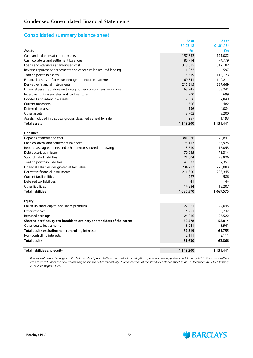### **Consolidated summary balance sheet**

|                                                                   | As at     | As at     |
|-------------------------------------------------------------------|-----------|-----------|
|                                                                   | 31.03.18  | 01.01.181 |
| Assets                                                            | £m        | £m        |
| Cash and balances at central banks                                | 157,332   | 171,082   |
| Cash collateral and settlement balances                           | 86,714    | 74,779    |
| Loans and advances at amortised cost                              | 319,085   | 317,182   |
| Reverse repurchase agreements and other similar secured lending   | 1,082     | 597       |
| Trading portfolio assets                                          | 115,819   | 114,173   |
| Financial assets at fair value through the income statement       | 160,341   | 140,211   |
| Derivative financial instruments                                  | 215,215   | 237,669   |
| Financial assets at fair value through other comprehensive income | 63.745    | 53,241    |
| Investments in associates and joint ventures                      | 700       | 699       |
| Goodwill and intangible assets                                    | 7,806     | 7,849     |
| Current tax assets                                                | 506       | 482       |
| Deferred tax assets                                               | 4,196     | 4,084     |
| Other assets                                                      | 8,702     | 8,200     |
| Assets included in disposal groups classified as held for sale    | 957       | 1,193     |
| <b>Total assets</b>                                               | 1,142,200 | 1,131,441 |

| Liabilities                                               |           |           |
|-----------------------------------------------------------|-----------|-----------|
| Deposits at amortised cost                                | 381,326   | 379,841   |
| Cash collateral and settlement balances                   | 74.113    | 65.925    |
| Repurchase agreements and other similar secured borrowing | 18.610    | 15.053    |
| Debt securities in issue                                  | 79.035    | 73,314    |
| Subordinated liabilities                                  | 21.004    | 23.826    |
| Trading portfolio liabilities                             | 45,333    | 37.351    |
| Financial liabilities designated at fair value            | 234.287   | 220.083   |
| Derivative financial instruments                          | 211,800   | 238.345   |
| Current tax liabilities                                   | 787       | 586       |
| Deferred tax liabilities                                  | 41        | 44        |
| Other liabilities                                         | 14.234    | 13.207    |
| <b>Total liabilities</b>                                  | 1.080.570 | 1.067.575 |

| <b>Equity</b>                                                            |           |           |
|--------------------------------------------------------------------------|-----------|-----------|
| Called up share capital and share premium                                | 22,061    | 22,045    |
| Other reserves                                                           | 4,201     | 5.247     |
| Retained earnings                                                        | 24.316    | 25,522    |
| Shareholders' equity attributable to ordinary shareholders of the parent | 50,578    | 52,814    |
| Other equity instruments                                                 | 8.941     | 8,941     |
| Total equity excluding non-controlling interests                         | 59.519    | 61.755    |
| Non-controlling interests                                                | 2,111     | 2,111     |
| <b>Total equity</b>                                                      | 61,630    | 63.866    |
| Total liabilities and equity                                             | 1,142,200 | 1,131,441 |

*1 Barclays introduced changes to the balance sheet presentation as a result of the adoption of new accounting policies on 1 January 2018. The comparatives are presented under the new accounting policies to aid comparability. A reconciliation of the statutory balance sheet as at 31 December 2017 to 1 January 2018 is on pages 24-25.*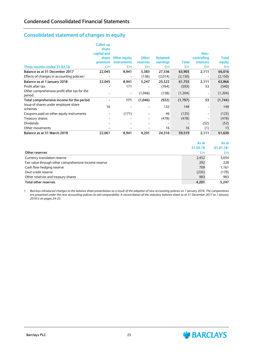## **Consolidated statement of changes in equity**

|                                                        | Called up   |                          |                          |                 |         |                  |              |
|--------------------------------------------------------|-------------|--------------------------|--------------------------|-----------------|---------|------------------|--------------|
|                                                        | share       |                          |                          |                 |         |                  |              |
|                                                        | capital and |                          |                          |                 |         | Non-             |              |
|                                                        | share       | <b>Other equity</b>      | <b>Other</b>             | <b>Retained</b> |         | controlling      | <b>Total</b> |
|                                                        | premium     | <i>instruments</i>       | reserves                 | earnings        | Total   | <b>interests</b> | equity       |
| Three months ended 31.03.18                            | £m          | £m                       | £m                       | £m              | £m      | £m               | £m           |
| Balance as at 31 December 2017                         | 22,045      | 8,941                    | 5,383                    | 27,536          | 63,905  | 2,111            | 66,016       |
| Effects of changes in accounting policies <sup>1</sup> |             | $\overline{\phantom{a}}$ | (136)                    | (2,014)         | (2,150) |                  | (2, 150)     |
| Balance as at 1 January 2018                           | 22,045      | 8,941                    | 5,247                    | 25,522          | 61,755  | 2,111            | 63,866       |
| Profit after tax                                       |             | 171                      |                          | (764)           | (593)   | 53               | (540)        |
| Other comprehensive profit after tax for the<br>period |             | $\overline{\phantom{a}}$ | (1,046)                  | (158)           | (1,204) |                  | (1, 204)     |
| Total comprehensive income for the period              |             | 171                      | (1,046)                  | (922)           | (1,797) | 53               | (1,744)      |
| Issue of shares under employee share<br>schemes        | 16          |                          |                          | 132             | 148     |                  | 148          |
| Coupons paid on other equity instruments               |             | (171)                    |                          | 46              | (125)   |                  | (125)        |
| Treasury shares                                        |             |                          | $\overline{\phantom{a}}$ | (478)           | (478)   |                  | (478)        |
| <b>Dividends</b>                                       |             |                          | $\overline{\phantom{a}}$ |                 |         | (52)             | (52)         |
| Other movements                                        |             | $\overline{\phantom{0}}$ |                          | 16              | 16      | (1)              | 15           |
| Balance as at 31 March 2018                            | 22,061      | 8,941                    | 4,201                    | 24,316          | 59,519  | 2,111            | 61,630       |

|                                                       | As at    | As at     |
|-------------------------------------------------------|----------|-----------|
|                                                       | 31.03.18 | 01.01.181 |
| Other reserves                                        | £m       | £m        |
| Currency translation reserve                          | 2,452    | 3,054     |
| Fair value through other comprehensive income reserve | 292      | 228       |
| Cash flow hedging reserve                             | 709      | 1.161     |
| Own credit reserve                                    | (235)    | (179)     |
| Other reserves and treasury shares                    | 983      | 983       |
| Total other reserves                                  | 4,201    | 5.247     |

*1 Barclays introduced changes to the balance sheet presentation as a result of the adoption of new accounting policies on 1 January 2018. The comparatives are presented under the new accounting policies to aid comparability. A reconciliation of the statutory balance sheet as at 31 December 2017 to 1 January 2018 is on pages 24-25.*

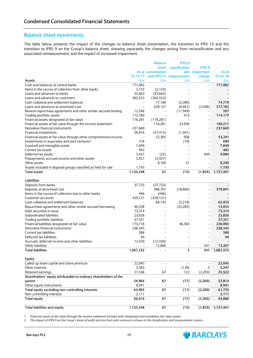#### **Balance sheet movements**

The table below presents the impact of the changes to balance sheet presentation, the transition to IFRS 15 and the transition to IFRS 9 on the Group's balance sheet, showing separately the changes arising from reclassification and any associated remeasurement, and the impact of increased impairment.

|                                                                          |                          | <b>Balance</b>           | <b>IFRS 9</b>           |                |           |
|--------------------------------------------------------------------------|--------------------------|--------------------------|-------------------------|----------------|-----------|
|                                                                          |                          | sheet                    | classification          | <b>IFRS 9</b>  |           |
|                                                                          |                          | As at presentation       |                         | and impairment | As at     |
|                                                                          | 31.12.17                 |                          | and IFRS 15 measurement | change         | 01.01.18  |
| Assets                                                                   | £m                       | £m                       | £m                      | £m             | £m        |
| Cash and balances at central banks                                       | 171,082                  |                          | $\overline{a}$          |                | 171,082   |
| Items in the course of collection from other banks                       | 2,153                    | (2, 153)                 |                         |                |           |
| Loans and advances to banks                                              | 35,663                   | (35,663)                 |                         |                |           |
| Loans and advances to customers                                          | 365,552                  | (365, 552)               |                         |                |           |
| Cash collateral and settlement balances                                  |                          | 77,168                   | (2,389)                 |                | 74,779    |
| Loans and advances at amortised cost                                     | $\overline{\phantom{a}}$ | 329,157                  | (9, 467)                | (2,508)        | 317,182   |
| Reverse repurchase agreements and other similar secured lending          | 12,546                   |                          | (11, 949)               |                | 597       |
| Trading portfolio assets                                                 | 113,760                  |                          | 413                     |                | 114,173   |
| Financial assets designated at fair value                                | 116,281                  | (116, 281)               |                         |                |           |
| Financial assets at fair value through the income statement <sup>1</sup> |                          | 116,281                  | 23,930                  |                | 140,211   |
| Derivative financial instruments                                         | 237,669                  |                          |                         |                | 237,669   |
| Financial investments                                                    | 58,916                   | (57, 415)                | (1,501)                 |                |           |
| Financial assets at fair value through other comprehensive income        | $\overline{\phantom{a}}$ | 52,305                   | 936                     |                | 53,241    |
| Investments in associates and joint ventures <sup>2</sup>                | 718                      |                          | (19)                    |                | 699       |
| Goodwill and intangible assets                                           | 7,849                    |                          |                         |                | 7,849     |
| Current tax assets                                                       | 482                      |                          |                         |                | 482       |
| Deferred tax assets                                                      | 3,457                    | (22)                     |                         | 649            | 4,084     |
| Prepayments, accrued income and other assets                             | 5,927                    | (5, 927)                 |                         |                |           |
| Other assets                                                             |                          | 8,169                    | 31                      |                | 8,200     |
| Assets included in disposal groups classified as held for sale           | 1,193                    |                          |                         |                | 1,193     |
| <b>Total assets</b>                                                      | 1,133,248                | 67                       | (15)                    | (1,859)        | 1,131,441 |
|                                                                          |                          |                          |                         |                |           |
| Liabilities                                                              |                          |                          |                         |                |           |
| Deposits from banks                                                      | 37,723                   | (37, 723)                |                         |                |           |
| Deposits at amortised cost                                               | $\overline{\phantom{a}}$ | 398,701                  | (18, 860)               |                | 379,841   |
| Items in the course of collection due to other banks                     | 446                      | (446)                    |                         |                |           |
| Customer accounts                                                        | 429,121                  | (429, 121)               |                         |                |           |
| Cash collateral and settlement balances                                  |                          | 68,143                   | (2,218)                 |                | 65,925    |
| Repurchase agreements and other similar secured borrowing                | 40,338                   |                          | (25, 285)               |                | 15,053    |
| Debt securities in issue                                                 | 73,314                   |                          |                         |                | 73,314    |
| Subordinated liabilities                                                 | 23,826                   |                          |                         |                | 23,826    |
| Trading portfolio liabilities                                            | 37,351                   |                          |                         |                | 37,351    |
| Financial liabilities designated at fair value                           | 173,718                  |                          | 46,365                  |                | 220,083   |
| Derivative financial instruments                                         | 238,345                  |                          |                         |                | 238,345   |
| Current tax liabilities                                                  | 586                      |                          |                         |                | 586       |
| Deferred tax liabilities                                                 | 44                       |                          |                         |                | 44        |
| Accruals, deferred income and other liabilities                          | 12,420                   | (12, 420)                |                         |                |           |
| Other liabilities                                                        |                          | 12,866                   |                         | 341            | 13,207    |
| <b>Total liabilities</b>                                                 | 1,067,232                |                          | $\overline{2}$          | 341            | 1,067,575 |
|                                                                          |                          |                          |                         |                |           |
| Equity                                                                   |                          |                          |                         |                |           |
| Called up share capital and share premium                                | 22,045                   |                          |                         |                | 22,045    |
| Other reserves                                                           | 5,383                    |                          | (139)                   | 3              | 5,247     |
| Retained earnings                                                        | 27,536                   | 67                       | 122                     | (2,203)        | 25,522    |
| Shareholders' equity attributable to ordinary shareholders of the        |                          |                          |                         |                |           |
| parent                                                                   | 54,964                   | 67                       | (17)                    | (2,200)        | 52,814    |
| Other equity instruments                                                 | 8,941                    | $\overline{\phantom{a}}$ |                         |                | 8,941     |
| Total equity excluding non-controlling interests                         | 63,905                   | 67                       | (17)                    | (2,200)        | 61,755    |
| Non-controlling interests                                                | 2,111                    |                          |                         |                | 2,111     |
| <b>Total equity</b>                                                      | 66,016                   | 67                       | (17)                    | (2,200)        | 63,866    |
|                                                                          |                          |                          |                         |                |           |
| <b>Total liabilities and equity</b>                                      | 1,133,248                | 67                       | (15)                    | (1,859)        | 1,131,441 |
|                                                                          |                          |                          |                         |                |           |

1 Financial assets at fair value through the income statement includes both designated and mandatory fair value assets.

2 The impact of IFRS 9 on the Group's share of profit and loss from joint ventures is shown in the classification and measurement column.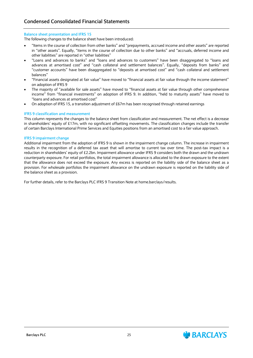#### **Balance sheet presentation and IFRS 15**

The following changes to the balance sheet have been introduced:

- "Items in the course of collection from other banks" and "prepayments, accrued income and other assets" are reported in "other assets". Equally, "items in the course of collection due to other banks" and "accruals, deferred income and other liabilities" are reported in "other liabilities"
- "Loans and advances to banks" and "loans and advances to customers" have been disaggregated to "loans and advances at amortised cost" and "cash collateral and settlement balances". Equally, "deposits from banks" and "customer accounts" have been disaggregated to "deposits at amortised cost" and "cash collateral and settlement balances"
- "Financial assets designated at fair value" have moved to "financial assets at fair value through the income statement" on adoption of IFRS 9
- The majority of "available for sale assets" have moved to "financial assets at fair value through other comprehensive income" from "financial investments" on adoption of IFRS 9. In addition, "held to maturity assets" have moved to "loans and advances at amortised cost"
- On adoption of IFRS 15, a transition adjustment of £67m has been recognised through retained earnings

#### **IFRS 9 classification and measurement**

This column represents the changes to the balance sheet from classification and measurement. The net effect is a decrease in shareholders' equity of £17m, with no significant offsetting movements. The classification changes include the transfer of certain Barclays International Prime Services and Equities positions from an amortised cost to a fair value approach.

#### **IFRS 9 impairment change**

Additional impairment from the adoption of IFRS 9 is shown in the impairment change column. The increase in impairment results in the recognition of a deferred tax asset that will amortise to current tax over time. The post-tax impact is a reduction in shareholders' equity of £2.2bn. Impairment allowance under IFRS 9 considers both the drawn and the undrawn counterparty exposure. For retail portfolios, the total impairment allowance is allocated to the drawn exposure to the extent that the allowance does not exceed the exposure. Any excess is reported on the liability side of the balance sheet as a provision. For wholesale portfolios the impairment allowance on the undrawn exposure is reported on the liability side of the balance sheet as a provision.

For further details, refer to the Barclays PLC IFRS 9 Transition Note at home.barclays/results.

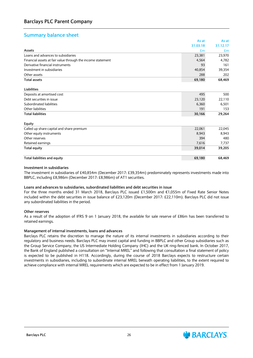### **Summary balance sheet**

|                                                             | As at    | As at    |
|-------------------------------------------------------------|----------|----------|
|                                                             | 31.03.18 | 31.12.17 |
| Assets                                                      | £m       | Em       |
| Loans and advances to subsidiaries                          | 23,381   | 23,970   |
| Financial assets at fair value through the income statement | 4,564    | 4,782    |
| Derivative financial instruments                            | 93       | 161      |
| Investment in subsidiaries                                  | 40,854   | 39,354   |
| Other assets                                                | 288      | 202      |
| <b>Total assets</b>                                         | 69,180   | 68,469   |
|                                                             |          |          |
| <b>Liabilities</b>                                          |          |          |
| Deposits at amortised cost                                  | 495      | 500      |
| Debt securities in issue                                    | 23,120   | 22,110   |
| Subordinated liabilities                                    | 6,360    | 6,501    |
| Other liabilities                                           | 191      | 153      |
| <b>Total liabilities</b>                                    | 30,166   | 29,264   |
| Equity                                                      |          |          |
| Called up share capital and share premium                   | 22,061   | 22,045   |
| Other equity instruments                                    | 8,943    | 8,943    |
| Other reserves                                              | 394      | 480      |
| Retained earnings                                           | 7,616    | 7,737    |
| <b>Total equity</b>                                         | 39,014   | 39,205   |
| Total liabilities and equity                                | 69,180   | 68,469   |

#### **Investment in subsidiaries**

The investment in subsidiaries of £40,854m (December 2017: £39,354m) predominately represents investments made into BBPLC, including £8,986m (December 2017: £8,986m) of AT1 securities.

#### **Loans and advances to subsidiaries, subordinated liabilities and debt securities in issue**

For the three months ended 31 March 2018, Barclays PLC issued £1,500m and €1,055m of Fixed Rate Senior Notes included within the debt securities in issue balance of £23,120m (December 2017: £22,110m). Barclays PLC did not issue any subordinated liabilities in the period.

#### **Other reserves**

As a result of the adoption of IFRS 9 on 1 January 2018, the available for sale reserve of £86m has been transferred to retained earnings.

#### **Management of internal investments, loans and advances**

Barclays PLC retains the discretion to manage the nature of its internal investments in subsidiaries according to their regulatory and business needs. Barclays PLC may invest capital and funding in BBPLC and other Group subsidiaries such as the Group Service Company, the US Intermediate Holding Company (IHC) and the UK ring-fenced bank. In October 2017, the Bank of England published a consultation on "Internal MREL" and following that consultation a final statement of policy is expected to be published in H118. Accordingly, during the course of 2018 Barclays expects to restructure certain investments in subsidiaries, including to subordinate internal MREL beneath operating liabilities, to the extent required to achieve compliance with internal MREL requirements which are expected to be in effect from 1 January 2019.

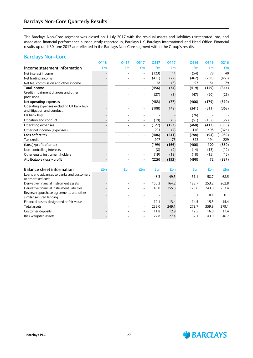The Barclays Non-Core segment was closed on 1 July 2017 with the residual assets and liabilities reintegrated into, and associated financial performance subsequently reported in, Barclays UK, Barclays International and Head Office. Financial results up until 30 June 2017 are reflected in the Barclays Non-Core segment within the Group's results.

#### **Barclays Non-Core**

|                                             | 0118 | Q417 | Q317                     | Q217  | 0117  | Q416  | Q316  | Q216    |
|---------------------------------------------|------|------|--------------------------|-------|-------|-------|-------|---------|
| Income statement information                | £m   | £m   | £m                       | £m    | £m    | £m    | £m    | £m      |
| Net interest income                         |      |      |                          | (123) | 11    | (54)  | 78    | 40      |
| Net trading income                          |      |      |                          | (411) | (77)  | (462) | (288) | (463)   |
| Net fee, commission and other income        |      |      | $\overline{\phantom{a}}$ | 78    | (8)   | 97    | 51    | 79      |
| <b>Total income</b>                         |      |      | $\overline{\phantom{a}}$ | (456) | (74)  | (419) | (159) | (344)   |
| Credit impairment charges and other         |      |      |                          | (27)  | (3)   | (47)  | (20)  | (26)    |
| provisions                                  |      |      |                          |       |       |       |       |         |
| Net operating expenses                      |      |      | $\overline{\phantom{a}}$ | (483) | (77)  | (466) | (179) | (370)   |
| Operating expenses excluding UK bank levy   |      |      |                          | (108) | (148) | (341) | (311) | (368)   |
| and litigation and conduct<br>UK bank levy  |      |      |                          |       |       | (76)  |       |         |
|                                             |      |      |                          |       |       | (51)  |       |         |
| Litigation and conduct                      |      |      |                          | (19)  | (9)   |       | (102) | (27)    |
| <b>Operating expenses</b>                   |      |      | $\overline{\phantom{a}}$ | (127) | (157) | (468) | (413) | (395)   |
| Other net income/(expenses)                 |      |      |                          | 204   | (7)   | 146   | 498   | (324)   |
| Loss before tax                             |      |      | $\blacksquare$           | (406) | (241) | (788) | (94)  | (1,089) |
| Tax credit                                  |      |      |                          | 207   | 75    | 322   | 194   | 229     |
| (Loss)/profit after tax                     |      |      | $\overline{\phantom{a}}$ | (199) | (166) | (466) | 100   | (860)   |
| Non-controlling interests                   |      |      |                          | (8)   | (9)   | (14)  | (13)  | (12)    |
| Other equity instrument holders             |      |      |                          | (19)  | (18)  | (18)  | (15)  | (15)    |
| Attributable (loss)/profit                  |      |      | $\blacksquare$           | (226) | (193) | (498) | 72    | (887)   |
|                                             |      |      |                          |       |       |       |       |         |
| <b>Balance sheet information</b>            | £bn  | £bn  | £bn                      | £bn   | £bn   | £bn   | £bn   | £bn     |
| Loans and advances to banks and customers   |      |      | $\overline{\phantom{a}}$ | 48.3  | 49.5  | 51.1  | 58.7  | 68.5    |
| at amortised cost                           |      |      |                          |       |       |       |       |         |
| Derivative financial instrument assets      |      |      |                          | 150.3 | 164.2 | 188.7 | 253.2 | 262.8   |
| Derivative financial instrument liabilities |      |      |                          | 143.0 | 155.3 | 178.6 | 243.0 | 253.4   |
| Reverse repurchase agreements and other     |      |      |                          |       |       | 0.1   | 0.1   | 0.1     |
| similar secured lending                     |      |      |                          |       |       |       |       |         |
| Financial assets designated at fair value   |      |      |                          | 12.1  | 13.4  | 14.5  | 15.5  | 15.4    |
| <b>Total assets</b>                         |      |      |                          | 233.0 | 249.1 | 279.7 | 359.8 | 379.1   |
| Customer deposits                           |      |      |                          | 11.8  | 12.9  | 12.5  | 16.0  | 17.4    |
| Risk weighted assets                        |      |      |                          | 22.8  | 27.4  | 32.1  | 43.9  | 46.7    |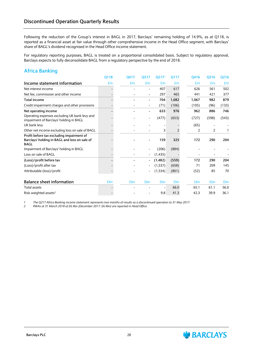Following the reduction of the Group's interest in BAGL in 2017, Barclays' remaining holding of 14.9%, as at Q118, is reported as a financial asset at fair value through other comprehensive income in the Head Office segment, with Barclays' share of BAGL's dividend recognised in the Head Office income statement.

For regulatory reporting purposes, BAGL is treated on a proportional consolidated basis. Subject to regulatory approval, Barclays expects to fully deconsolidate BAGL from a regulatory perspective by the end of 2018.

### **Africa Banking**

|                                                                                                           | Q118       | 0417       | Q317                     | Q217 <sup>1</sup> | 0117  | 0416  | Q316  | Q216       |
|-----------------------------------------------------------------------------------------------------------|------------|------------|--------------------------|-------------------|-------|-------|-------|------------|
| Income statement information                                                                              | £m         | £m         | £m                       | £m                | Em    | £m    | £m    | £m         |
| Net interest income                                                                                       |            |            |                          | 407               | 617   | 626   | 561   | 502        |
| Net fee, commission and other income                                                                      |            |            |                          | 297               | 465   | 441   | 421   | 377        |
| <b>Total income</b>                                                                                       |            |            | ۰                        | 704               | 1,082 | 1,067 | 982   | 879        |
| Credit impairment charges and other provisions                                                            |            |            |                          | (71)              | (106) | (105) | (96)  | (133)      |
| Net operating income                                                                                      |            |            | ۰                        | 633               | 976   | 962   | 886   | 746        |
| Operating expenses excluding UK bank levy and<br>impairment of Barclays' holding in BAGL                  |            |            |                          | (477)             | (653) | (727) | (598) | (543)      |
| UK bank levy                                                                                              |            |            |                          |                   |       | (65)  |       |            |
| Other net income excluding loss on sale of BAGL                                                           |            |            |                          | 3                 | 2     | 2     | 2     |            |
| Profit before tax excluding impairment of<br>Barclays' holding in BAGL and loss on sale of<br><b>BAGL</b> |            |            |                          | 159               | 325   | 172   | 290   | 204        |
| Impairment of Barclays' holding in BAGL                                                                   |            |            |                          | (206)             | (884) |       |       |            |
| Loss on sale of BAGL                                                                                      |            |            |                          | (1, 435)          |       |       |       |            |
| (Loss)/profit before tax                                                                                  |            |            | $\overline{\phantom{0}}$ | (1, 482)          | (559) | 172   | 290   | 204        |
| (Loss)/profit after tax                                                                                   |            |            |                          | (1,537)           | (658) | 71    | 209   | 145        |
| Attributable (loss)/profit                                                                                |            |            |                          | (1, 534)          | (801) | (52)  | 85    | 70         |
| <b>Balance sheet information</b>                                                                          | <b>£bn</b> | <b>£bn</b> | £bn                      | £bn               | £bn   | £bn   | £bn   | <b>£bn</b> |
| <b>Total assets</b>                                                                                       |            |            |                          |                   | 66.0  | 65.1  | 61.1  | 56.0       |
| Risk weighted assets <sup>2</sup>                                                                         |            |            |                          | 9.8               | 41.3  | 42.3  | 39.9  | 36.1       |

*1 The Q217 Africa Banking income statement represents two months of results as a discontinued operation to 31 May 2017.*

*2 RWAs at 31 March 2018 of £6.4bn (December 2017: £6.4bn) are reported in Head Office.*

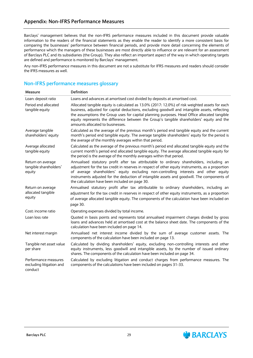Barclays' management believes that the non-IFRS performance measures included in this document provide valuable information to the readers of the financial statements as they enable the reader to identify a more consistent basis for comparing the businesses' performance between financial periods, and provide more detail concerning the elements of performance which the managers of these businesses are most directly able to influence or are relevant for an assessment of Barclays PLC and its subsidiaries (the Group). They also reflect an important aspect of the way in which operating targets are defined and performance is monitored by Barclays' management.

Any non-IFRS performance measures in this document are not a substitute for IFRS measures and readers should consider the IFRS measures as well.

### **Non-IFRS performance measures glossary**

| Measure                                                     | <b>Definition</b>                                                                                                                                                                                                                                                                                                                                                                                                                       |
|-------------------------------------------------------------|-----------------------------------------------------------------------------------------------------------------------------------------------------------------------------------------------------------------------------------------------------------------------------------------------------------------------------------------------------------------------------------------------------------------------------------------|
| Loan: deposit ratio                                         | Loans and advances at amortised cost divided by deposits at amortised cost.                                                                                                                                                                                                                                                                                                                                                             |
| Period end allocated<br>tangible equity                     | Allocated tangible equity is calculated as 13.0% (2017: 12.0%) of risk weighted assets for each<br>business, adjusted for capital deductions, excluding goodwill and intangible assets, reflecting<br>the assumptions the Group uses for capital planning purposes. Head Office allocated tangible<br>equity represents the difference between the Group's tangible shareholders' equity and the<br>amounts allocated to businesses.    |
| Average tangible<br>shareholders' equity                    | Calculated as the average of the previous month's period end tangible equity and the current<br>month's period end tangible equity. The average tangible shareholders' equity for the period is<br>the average of the monthly averages within that period.                                                                                                                                                                              |
| Average allocated<br>tangible equity                        | Calculated as the average of the previous month's period end allocated tangible equity and the<br>current month's period end allocated tangible equity. The average allocated tangible equity for<br>the period is the average of the monthly averages within that period.                                                                                                                                                              |
| Return on average<br>tangible shareholders'<br>equity       | Annualised statutory profit after tax attributable to ordinary shareholders, including an<br>adjustment for the tax credit in reserves in respect of other equity instruments, as a proportion<br>of average shareholders' equity excluding non-controlling interests and other equity<br>instruments adjusted for the deduction of intangible assets and goodwill. The components of<br>the calculation have been included on page 30. |
| Return on average<br>allocated tangible<br>equity           | Annualised statutory profit after tax attributable to ordinary shareholders, including an<br>adjustment for the tax credit in reserves in respect of other equity instruments, as a proportion<br>of average allocated tangible equity. The components of the calculation have been included on<br>page 30.                                                                                                                             |
| Cost: income ratio                                          | Operating expenses divided by total income.                                                                                                                                                                                                                                                                                                                                                                                             |
| Loan loss rate                                              | Quoted in basis points and represents total annualised impairment charges divided by gross<br>loans and advances held at amortised cost at the balance sheet date. The components of the<br>calculation have been included on page 14.                                                                                                                                                                                                  |
| Net interest margin                                         | Annualised net interest income divided by the sum of average customer assets. The<br>components of the calculation have been included on page 13.                                                                                                                                                                                                                                                                                       |
| Tangible net asset value<br>per share                       | Calculated by dividing shareholders' equity, excluding non-controlling interests and other<br>equity instruments, less goodwill and intangible assets, by the number of issued ordinary<br>shares. The components of the calculation have been included on page 34.                                                                                                                                                                     |
| Performance measures<br>excluding litigation and<br>conduct | Calculated by excluding litigation and conduct charges from performance measures. The<br>components of the calculations have been included on pages 31-33.                                                                                                                                                                                                                                                                              |

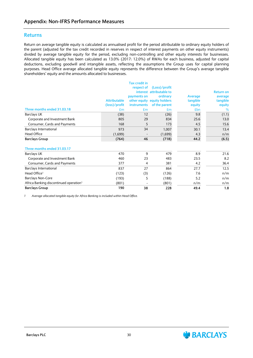#### **Returns**

Return on average tangible equity is calculated as annualised profit for the period attributable to ordinary equity holders of the parent (adjusted for the tax credit recorded in reserves in respect of interest payments on other equity instruments) divided by average tangible equity for the period, excluding non-controlling and other equity interests for businesses. Allocated tangible equity has been calculated as 13.0% (2017: 12.0%) of RWAs for each business, adjusted for capital deductions, excluding goodwill and intangible assets, reflecting the assumptions the Group uses for capital planning purposes. Head Office average allocated tangible equity represents the difference between the Group's average tangible shareholders' equity and the amounts allocated to businesses.

|                                                    |                     | <b>Tax credit in</b> |                             |            |                  |
|----------------------------------------------------|---------------------|----------------------|-----------------------------|------------|------------------|
|                                                    |                     | respect of           | (Loss)/profit               |            |                  |
|                                                    |                     |                      | interest attributable to    |            | <b>Return on</b> |
|                                                    |                     | payments on          | ordinary                    | Average    | average          |
|                                                    | <b>Attributable</b> |                      | other equity equity holders | tangible   | tangible         |
|                                                    | (loss)/profit       | <b>instruments</b>   | of the parent               | equity     | equity           |
| Three months ended 31.03.18                        | £m                  | £m                   | Em                          | <b>£bn</b> | %                |
| <b>Barclays UK</b>                                 | (38)                | 12                   | (26)                        | 9.8        | (1.1)            |
| Corporate and Investment Bank                      | 805                 | 29                   | 834                         | 25.6       | 13.0             |
| Consumer, Cards and Payments                       | 168                 | 5                    | 173                         | 4.5        | 15.6             |
| Barclays International                             | 973                 | 34                   | 1,007                       | 30.1       | 13.4             |
| <b>Head Office</b>                                 | (1,699)             |                      | (1,699)                     | 4.3        | n/m              |
| <b>Barclays Group</b>                              | (764)               | 46                   | (718)                       | 44.2       | (6.5)            |
|                                                    |                     |                      |                             |            |                  |
| Three months ended 31.03.17                        |                     |                      |                             |            |                  |
| <b>Barclays UK</b>                                 | 470                 | 9                    | 479                         | 8.9        | 21.6             |
| Corporate and Investment Bank                      | 460                 | 23                   | 483                         | 23.5       | 8.2              |
| Consumer, Cards and Payments                       | 377                 | $\overline{4}$       | 381                         | 4.2        | 36.4             |
| Barclays International                             | 837                 | 27                   | 864                         | 27.7       | 12.5             |
| Head Office <sup>1</sup>                           | (123)               | (3)                  | (126)                       | 7.6        | n/m              |
| <b>Barclays Non-Core</b>                           | (193)               | 5                    | (188)                       | 5.2        | n/m              |
| Africa Banking discontinued operation <sup>1</sup> | (801)               |                      | (801)                       | n/m        | n/m              |
| <b>Barclays Group</b>                              | 190                 | 38                   | 228                         | 49.4       | 1.8              |

*1 Average allocated tangible equity for Africa Banking is included within Head Office.*



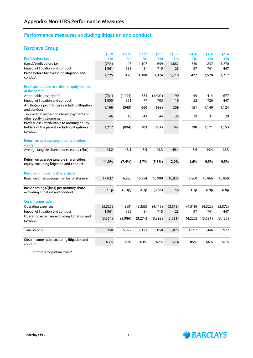### **Performance measures excluding litigation and conduct**

### **Barclays Group**

|                                                                                                            | Q118     | Q417     | Q317             | Q217     | Q117    | Q416             | Q316             | Q216     |
|------------------------------------------------------------------------------------------------------------|----------|----------|------------------|----------|---------|------------------|------------------|----------|
| <b>Profit before tax</b>                                                                                   | £m       | £m       | £m               | £m       | £m      | £m               | £m               | £m       |
| (Loss)/profit before tax                                                                                   | (236)    | 93       | 1,107            | 659      | 1,682   | 330              | 837              | 1,270    |
| Impact of litigation and conduct                                                                           | 1,961    | 383      | 81               | 715      | 28      | 97               | 741              | 447      |
| Profit before tax excluding litigation and<br>conduct                                                      | 1,725    | 476      | 1,188            | 1,374    | 1,710   | 427              | 1,578            | 1,717    |
| Profit attributable to ordinary equity holders                                                             |          |          |                  |          |         |                  |                  |          |
| of the parent                                                                                              |          |          |                  |          |         |                  |                  |          |
| Attributable (loss)/profit                                                                                 | (764)    | (1, 294) | 583              | (1, 401) | 190     | 99               | 414              | 677      |
| Impact of litigation and conduct <sup>1</sup>                                                              | 1,930    | 351      | 77               | 703      | 19      | 52               | 726              | 447      |
| Attributable profit/(loss) excluding litigation<br>and conduct                                             | 1,166    | (943)    | 660              | (698)    | 209     | 151              | 1,140            | 1,124    |
| Tax credit in respect of interest payments on<br>other equity instruments                                  | 46       | 49       | 43               | 44       | 38      | 39               | 31               | 29       |
| Profit/(loss) attributable to ordinary equity<br>holders of the parent excluding litigation and<br>conduct | 1,212    | (894)    | 703              | (654)    | 247     | 190              | 1,171            | 1,153    |
| Return on average tangible shareholders'<br>equity                                                         |          |          |                  |          |         |                  |                  |          |
| Average tangible shareholders' equity (£bn)                                                                | 44.2     | 48.1     | 48.9             | 49.3     | 49.4    | 48.9             | 49.4             | 48.3     |
| Return on average tangible shareholders'<br>equity excluding litigation and conduct                        | 11.0%    | (7.4%)   | 5.7%             | (5.3%)   | 2.0%    | 1.6%             | 9.5%             | 9.5%     |
| Basic earnings per ordinary share                                                                          |          |          |                  |          |         |                  |                  |          |
| Basic weighted average number of shares (m)                                                                | 17,037   | 16,996   | 16,994           | 16,989   | 16,924  | 16,860           | 16,866           | 16,859   |
| Basic earnings/(loss) per ordinary share<br>excluding litigation and conduct                               | 7.1p     | (5.3p)   | 4.1 <sub>p</sub> | (3.8p)   | 1.5p    | 1.1 <sub>p</sub> | 6.9 <sub>p</sub> | 6.8p     |
| <b>Cost: income ratio</b>                                                                                  |          |          |                  |          |         |                  |                  |          |
| Operating expenses                                                                                         | (5,325)  | (4, 369) | (3, 355)         | (4, 113) | (3,619) | (4,319)          | (4,322)          | (3,872)  |
| Impact of litigation and conduct                                                                           | 1,961    | 383      | 81               | 715      | 28      | 97               | 741              | 447      |
| Operating expenses excluding litigation and<br>conduct                                                     | (3, 364) | (3,986)  | (3,274)          | (3,398)  | (3,591) | (4,222)          | (3,581)          | (3, 425) |
| Total income                                                                                               | 5,358    | 5,022    | 5,173            | 5,058    | 5,823   | 4,992            | 5,446            | 5,972    |
| Cost: income ratio excluding litigation and<br>conduct                                                     | 63%      | 79%      | 63%              | 67%      | 62%     | 85%              | 66%              | 57%      |

*1 Represents the post-tax impact.*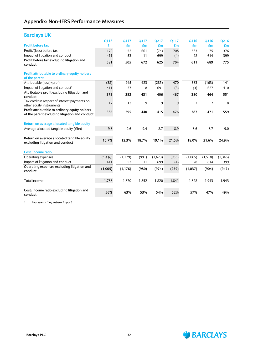### **Barclays UK**

|                                                                                                  | 0118     | 0417     | 0317  | 0217    | 0117  | Q416    | 0316    | Q216    |
|--------------------------------------------------------------------------------------------------|----------|----------|-------|---------|-------|---------|---------|---------|
| <b>Profit before tax</b>                                                                         | £m       | £m       | £m    | £m      | £m    | £m      | £m      | £m      |
| Profit/(loss) before tax                                                                         | 170      | 452      | 661   | (74)    | 708   | 583     | 75      | 376     |
| Impact of litigation and conduct                                                                 | 411      | 53       | 11    | 699     | (4)   | 28      | 614     | 399     |
| Profit before tax excluding litigation and<br>conduct                                            | 581      | 505      | 672   | 625     | 704   | 611     | 689     | 775     |
| Profit attributable to ordinary equity holders<br>of the parent                                  |          |          |       |         |       |         |         |         |
| Attributable (loss)/profit                                                                       | (38)     | 245      | 423   | (285)   | 470   | 383     | (163)   | 141     |
| Impact of litigation and conduct <sup>1</sup>                                                    | 411      | 37       | 8     | 691     | (3)   | (3)     | 627     | 410     |
| Attributable profit excluding litigation and<br>conduct                                          | 373      | 282      | 431   | 406     | 467   | 380     | 464     | 551     |
| Tax credit in respect of interest payments on<br>other equity instruments                        | 12       | 13       | 9     | 9       | 9     | 7       | 7       | 8       |
| Profit attributable to ordinary equity holders<br>of the parent excluding litigation and conduct | 385      | 295      | 440   | 415     | 476   | 387     | 471     | 559     |
| Return on average allocated tangible equity                                                      |          |          |       |         |       |         |         |         |
| Average allocated tangible equity (£bn)                                                          | 9.8      | 9.6      | 9.4   | 8.7     | 8.9   | 8.6     | 8.7     | 9.0     |
| Return on average allocated tangible equity<br>excluding litigation and conduct                  | 15.7%    | 12.3%    | 18.7% | 19.1%   | 21.5% | 18.0%   | 21.6%   | 24.9%   |
| <b>Cost: income ratio</b>                                                                        |          |          |       |         |       |         |         |         |
| Operating expenses                                                                               | (1, 416) | (1, 229) | (991) | (1,673) | (955) | (1,065) | (1,518) | (1,346) |
| Impact of litigation and conduct                                                                 | 411      | 53       | 11    | 699     | (4)   | 28      | 614     | 399     |
| Operating expenses excluding litigation and<br>conduct                                           | (1,005)  | (1, 176) | (980) | (974)   | (959) | (1,037) | (904)   | (947)   |
| Total income                                                                                     | 1,788    | 1,870    | 1,852 | 1,820   | 1,841 | 1,828   | 1,943   | 1,943   |
| Cost: income ratio excluding litigation and<br>conduct                                           | 56%      | 63%      | 53%   | 54%     | 52%   | 57%     | 47%     | 49%     |

*1 Represents the post-tax impact.*

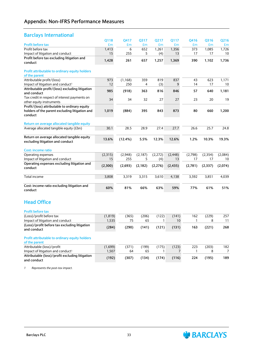#### **Barclays International**

|                                                                                                            | Q118              | Q417        | Q317        | Q217       | Q117        | Q416         | Q316       | Q216      |
|------------------------------------------------------------------------------------------------------------|-------------------|-------------|-------------|------------|-------------|--------------|------------|-----------|
| Profit before tax                                                                                          | £m                | £m          | £m          | £m         | £m          | £m           | £m         | £m        |
| Profit before tax                                                                                          | 1,413             | 6           | 652         | 1,261      | 1,356       | 373          | 1,085      | 1,726     |
| Impact of litigation and conduct                                                                           | 15                | 255         | 5           | (4)        | 13          | 17           | 17         | 10        |
| Profit before tax excluding litigation and<br>conduct                                                      | 1,428             | 261         | 657         | 1,257      | 1,369       | 390          | 1,102      | 1,736     |
| Profit attributable to ordinary equity holders<br>of the parent                                            |                   |             |             |            |             |              |            |           |
| Attributable profit/(loss)                                                                                 | 973               | (1, 168)    | 359         | 819        | 837         | 43           | 623        | 1,171     |
| Impact of litigation and conduct <sup>1</sup>                                                              | 12                | 250         | 4           | (3)        | 9           | 14           | 17         | 10        |
| Attributable profit/(loss) excluding litigation                                                            |                   |             |             |            |             |              |            |           |
| and conduct                                                                                                | 985               | (918)       | 363         | 816        | 846         | 57           | 640        | 1,181     |
| Tax credit in respect of interest payments on<br>other equity instruments                                  | 34                | 34          | 32          | 27         | 27          | 23           | 20         | 19        |
| Profit/(loss) attributable to ordinary equity<br>holders of the parent excluding litigation and<br>conduct | 1,019             | (884)       | 395         | 843        | 873         | 80           | 660        | 1,200     |
| Return on average allocated tangible equity                                                                |                   |             |             |            |             |              |            |           |
| Average allocated tangible equity (£bn)                                                                    | 30.1              | 28.5        | 28.9        | 27.4       | 27.7        | 26.6         | 25.7       | 24.8      |
| Return on average allocated tangible equity<br>excluding litigation and conduct                            | 13.6%             | (12.4%)     | 5.5%        | 12.3%      | 12.6%       | 1.2%         | 10.3%      | 19.3%     |
| Cost: income ratio                                                                                         |                   |             |             |            |             |              |            |           |
| Operating expenses                                                                                         | (2,315)           | (2,948)     | (2, 187)    | (2,272)    | (2, 448)    | (2,798)      | (2, 354)   | (2,084)   |
| Impact of litigation and conduct                                                                           | 15                | 255         | 5           | (4)        | 13          | 17           | 17         | 10        |
| Operating expenses excluding litigation and<br>conduct                                                     | (2,300)           | (2,693)     | (2, 182)    | (2,276)    | (2, 435)    | (2,781)      | (2, 337)   | (2,074)   |
| Total income                                                                                               | 3,808             | 3,319       | 3,315       | 3,610      | 4,138       | 3,592        | 3,851      | 4,039     |
| Cost: income ratio excluding litigation and<br>conduct                                                     | 60%               | 81%         | 66%         | 63%        | 59%         | 77%          | 61%        | 51%       |
| <b>Head Office</b>                                                                                         |                   |             |             |            |             |              |            |           |
| <b>Profit before tax</b><br>(Loss)/profit before tax                                                       |                   |             |             |            |             |              |            |           |
| Impact of litigation and conduct                                                                           | (1, 819)<br>1,535 | (365)<br>75 | (206)<br>65 | (122)<br>1 | (141)<br>10 | 162<br>1     | (229)<br>8 | 257<br>11 |
| (Loss)/profit before tax excluding litigation                                                              |                   |             |             |            |             |              |            |           |
| and conduct                                                                                                | (284)             | (290)       | (141)       | (121)      | (131)       | 163          | (221)      | 268       |
| Profit attributable to ordinary equity holders<br>of the parent                                            |                   |             |             |            |             |              |            |           |
| Attributable (loss)/profit                                                                                 | (1,699)           | (371)       | (199)       | (175)      | (123)       | 223          | (203)      | 182       |
| Impact of litigation and conduct <sup>1</sup>                                                              | 1,507             | 64          | 65          | 1          | 7           | $\mathbf{1}$ | 8          | 7         |
| Attributable (loss)/profit excluding litigation<br>and conduct                                             | (192)             | (307)       | (134)       | (174)      | (116)       | 224          | (195)      | 189       |
|                                                                                                            |                   |             |             |            |             |              |            |           |

*1 Represents the post-tax impact.*



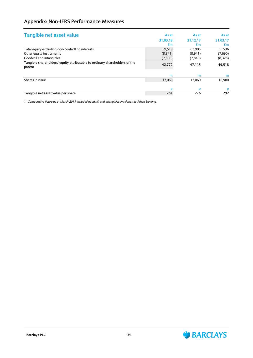## **Appendix: Non-IFRS Performance Measures**

| Tangible net asset value                                                             | As at    | As at    | As at    |
|--------------------------------------------------------------------------------------|----------|----------|----------|
|                                                                                      | 31.03.18 | 31.12.17 | 31.03.17 |
|                                                                                      | £m       | £m       | £m       |
| Total equity excluding non-controlling interests                                     | 59.519   | 63,905   | 65,536   |
| Other equity instruments                                                             | (8,941)  | (8,941)  | (7,690)  |
| Goodwill and intangibles <sup>1</sup>                                                | (7,806)  | (7, 849) | (8,328)  |
| Tangible shareholders' equity attributable to ordinary shareholders of the<br>parent | 42,772   | 47,115   | 49,518   |
|                                                                                      | m        | m        | m        |
| Shares in issue                                                                      | 17,069   | 17.060   | 16.980   |
|                                                                                      | n        | p        | p        |
| Tangible net asset value per share                                                   | 251      | 276      | 292      |

*1 Comparative figure as at March 2017 included goodwill and intangibles in relation to Africa Banking.*

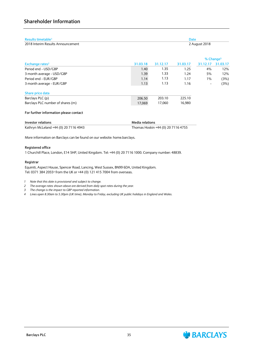| Results timetable <sup>1</sup><br>2018 Interim Results Announcement | <b>Date</b><br>2 August 2018 |          |          |              |          |  |
|---------------------------------------------------------------------|------------------------------|----------|----------|--------------|----------|--|
|                                                                     |                              |          |          |              |          |  |
|                                                                     |                              |          |          | % Change $3$ |          |  |
| Exchange rates <sup>2</sup>                                         | 31.03.18                     | 31.12.17 | 31.03.17 | 31.12.17     | 31.03.17 |  |
| Period end - USD/GBP                                                | 1.40                         | 1.35     | 1.25     | 4%           | 12%      |  |
| 3 month average - USD/GBP                                           | 1.39                         | 1.33     | 1.24     | 5%           | 12%      |  |
| Period end - EUR/GBP                                                | 1.14                         | 1.13     | 1.17     | $1\%$        | (3%)     |  |
| 3 month average - EUR/GBP                                           | 1.13                         | 1.13     | 1.16     | -            | (3%)     |  |
| Share price data                                                    |                              |          |          |              |          |  |
| Barclays PLC (p)                                                    | 206.50                       | 203.10   | 225.10   |              |          |  |
| Barclays PLC number of shares (m)                                   | 17,069                       | 17,060   | 16,980   |              |          |  |

#### **For further information please contact**

| Investor relations                    | <b>Media relations</b>             |
|---------------------------------------|------------------------------------|
| Kathryn McLeland +44 (0) 20 7116 4943 | Thomas Hoskin +44 (0) 20 7116 4755 |

More information on Barclays can be found on our website: home.barclays.

#### **Registered office**

1 Churchill Place, London, E14 5HP, United Kingdom. Tel: +44 (0) 20 7116 1000. Company number: 48839.

#### **Registrar**

Equiniti, Aspect House, Spencer Road, Lancing, West Sussex, BN99 6DA, United Kingdom. Tel: 0371 384 2055<sup>4</sup> from the UK or +44 (0) 121 415 7004 from overseas.

- *1 Note that this date is provisional and subject to change.*
- *2 The average rates shown above are derived from daily spot rates during the year.*
- *3 The change is the impact to GBP reported information.*
- 4 Lines open 8.30am to 5.30pm (UK time), Monday to Friday, excluding UK public holidays in England and Wales.